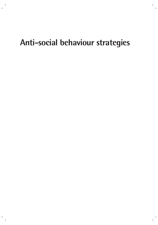# **Anti-social behaviour strategies**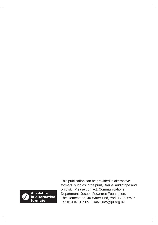

This publication can be provided in alternative formats, such as large print, Braille, audiotape and on disk. Please contact: Communications Department, Joseph Rowntree Foundation, The Homestead, 40 Water End, York YO30 6WP. Tel: 01904 615905. Email: info@jrf.org.uk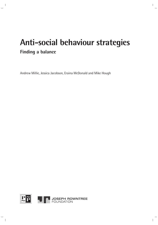# **Anti-social behaviour strategies Finding a balance**

Andrew Millie, Jessica Jacobson, Eraina McDonald and Mike Hough

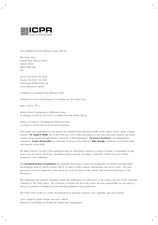

First published in Great Britain in June 2005 by

The Policy Press Fourth Floor, Beacon House Queen's Road Bristol BS8 1QU UK

Tel no +44 (0)117 331 4054 Fax no +44 (0)117 331 4093 E-mail tpp-info@bristol.ac.uk www.policypress.org.uk

© Institute for Criminal Policy Research 2005

Published for the Joseph Rowntree Foundation by The Policy Press

ISBN 1 86134 777 4

British Library Cataloguing in Publication Data A catalogue record for this book is available from the British Library.

Library of Congress Cataloging-in-Publication Data A catalog record for this book has been requested.

This project was undertaken by the Institute for Criminal Policy Research (ICPR) at the School of Law, King's College London. **Dr Andrew Millie** was at the ICPR but is now Senior Researcher at the Policy Research Institute and Senior Lecturer in the School of Legal Studies, University of Wolverhampton. **Dr Jessica Jacobson** is an independent consultant. **Eraina McDonald** was a Research Assistant at the ICPR and **Mike Hough** is Professor of Criminal Policy and Director of the ICPR.

All rights reserved: no part of this publication may be reproduced, stored in a retrieval system, or transmitted in any form or by any means, electronic, mechanical, photocopying, recording or otherwise without the prior written permission of the Publishers.

The **Joseph Rowntree Foundation** has supported this project as part of its programme of research and innovative development projects, which it hopes will be of value to policy makers, practitioners and service users. The facts presented and views expressed in this report are, however, those of the authors and not necessarily those of the Foundation.

The statements and opinions contained within this publication are solely those of the authors and not of The University of Bristol or The Policy Press. The University of Bristol and The Policy Press disclaim responsibility for any injury to persons or property resulting from any material published in this publication.

The Policy Press works to counter discrimination on grounds of gender, race, disability, age and sexuality.

Cover design by Qube Design Associates, Bristol Printed in Great Britain by Hobbs the Printers Ltd, Southampton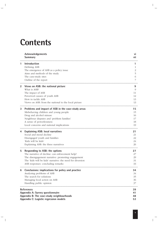# **Contents**

|              | Acknowledgements<br><b>Summary</b>                                                                                                                                                                                                          | VI<br>vii                        |
|--------------|---------------------------------------------------------------------------------------------------------------------------------------------------------------------------------------------------------------------------------------------|----------------------------------|
| 1            | <b>Introduction</b><br>Defining ASB<br>The emergence of ASB as a policy issue<br>Aims and methods of the study<br>The case-study sites<br>Outline of the report                                                                             | 1<br>2<br>5<br>6<br>7            |
| $\mathbf{2}$ | Views on ASB: the national picture<br>What is ASB?<br>The impact of ASB<br>Perceived causes of youth ASB<br>How to tackle ASB<br>Views on ASB: from the national to the local picture                                                       | 9<br>9<br>11<br>12<br>13<br>13   |
| 3            | Problems and impact of ASB in the case-study areas<br>Misbehaving children and young people<br>Drug and alcohol misuse<br>Neighbour disputes and 'problem families'<br>A sense of powerlessness<br>Local concerns and national implications | 15<br>15<br>16<br>17<br>18<br>19 |
| 4            | <b>Explaining ASB: local narratives</b><br>Social and moral decline<br>Disengaged youth and families<br>'Kids will be kids'<br>Explaining ASB: the three narratives                                                                         | 21<br>21<br>22<br>24<br>26       |
| 5            | Responding to ASB: the options<br>The narrative of decline: can enforcement help?<br>The disengagement narrative: promoting engagement<br>The 'kids will be kids' narrative: the need for diversion<br>ASB responses: concluding remarks    | 27<br>27<br>29<br>31<br>33       |
| 6            | Conclusions: implications for policy and practice<br>Analysing problems of ASB<br>The search for solutions<br>Managing local action on ASB<br>Handling public opinion                                                                       | 34<br>34<br>35<br>36<br>37       |
|              | <b>References</b><br>Appendix A: Survey questionnaire<br>Appendix B: The case-study neighbourhoods<br>Appendix C: Logistic regression models                                                                                                | 39<br>41<br>48<br>53             |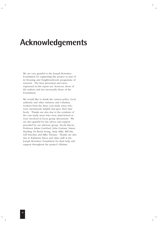# **Acknowledgements**

We are very grateful to the Joseph Rowntree Foundation for supporting this project as part of its Housing and Neighbourhoods programme of research. The facts presented and views expressed in this report are, however, those of the authors and not necessarily those of the Foundation.

We would like to thank the various police, local authority and other statutory and voluntary workers from the three case-study areas who were enormously helpful and gave their time freely. Thanks are also due to the residents of the case-study areas who were interviewed or were involved in focus group discussions. We are also grateful for the advice and support provided by our advisory group: Nicola Bacon, Professor Adam Crawford, John Graham, Simon Harding, Dr Barrie Irving, Andy Mills, Bill Pitt, Gill Strachan and Mike Thomas. Thanks are also due to Katharine Knox and other staff at the Joseph Rowntree Foundation for their help and support throughout the project's lifetime.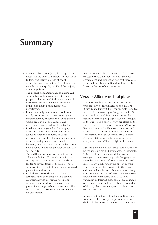# **Summary**

- Anti-social behaviour (ASB) has a significant impact on the lives of a minority of people in Britain, particularly in areas of social deprivation and inner cities. But it has little or no effect on the quality of life of the majority of the population.
- The general population tends to equate ASB with problems they associate with young people, including graffiti, drug use or simple rowdiness. Two-thirds favour preventive action over tough action against ASB perpetrators.
- In the local neighbourhoods, people were mainly concerned with three issues: general misbehaviour by children and young people; visible drug and alcohol misuse; and neighbour disputes and 'problem families'.
- Residents often regarded ASB as a symptom of social and moral decline. Local agencies tended to explain it in terms of social exclusion – especially of young people from deprived backgrounds. Some people, however, thought that much of the behaviour now labelled as ASB simply showed that 'kids will be kids'.
- These different perspectives on ASB implied different solutions. Those who saw it as a consequence of declining moral standards tended to favour tougher discipline. Those who saw it as a result of deprivation preferred prevention and inclusion.
- In all three case-study sites, local ASB strategies have been adopted that balance enforcement with preventive work, and emphasise the need for a graduated and proportionate approach to enforcement. This contrasts with the stronger national emphasis on enforcement.

We conclude that both national and local ASB strategies should aim for a balance between enforcement and prevention and that more care is needed in defining ASB and in deciding the limits on the use of civil remedies.

### **Views on ASB: the national picture**

For most people in Britain, ASB is not a big problem: 61% of respondents to the 2003/04 British Crime Survey (BCS), for example, reported no bad effects from any of 16 types of ASB. On the other hand, ASB is an acute concern for a significant *minority* of people. Rowdy teenagers in the street had a fairly or very big effect on the lives of one in five respondents to an Office for National Statistics (ONS) survey commissioned for this study. Anti-social behaviour tends to be concentrated in deprived urban areas: a third (34%) of BCS respondents in inner-city areas thought levels of ASB were high in their area.

ASB can take many forms. Youth ASB appears to be the most visible and worrisome. For example, 27% of ONS respondents said that rowdy teenagers on the street or youths hanging around were the worst forms of ASB where they lived. Interestingly, adults under the age of 45 were more concerned about youth ASB than their elders – perhaps because they were more likely to experience this kind of ASB. The ONS survey showed that other forms of ASB, such as vandalism or litter/rubbish, had a smaller impact on people's lives – although a larger proportion of the population were exposed to these less serious problems.

Asked about methods of tackling ASB, people were more likely to opt for 'preventive action to deal with the causes' than 'tough action against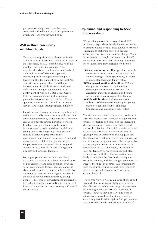perpetrators'. Only 20% chose the latter, compared with 66% who opted for preventive action and 11% who favoured both.

# **ASB in three case-study neighbourhoods**

Three case-study sites were chosen for further study in order to learn more about local views on the experience of ASB, possible causes of the problems and potential solutions. The neighbourhoods were selected on the basis of their high levels of ASB and apparently contrasting local strategies for tackling it. It turned out that the similarities in the local ASB strategies were greater than the differences between them. In all three areas, graduated enforcement strategies culminating in the deployment of Anti-Social Behaviour Orders (ASBOs) were combined with a range of preventive measures undertaken by different agencies, some funded through mainstream services and others through special initiatives.

Interviews and focus groups were organised with residents and ASB practitioners in each site. In all three neighbourhoods, issues relating to children and young people caused particular concern. Residents and practitioners spoke about boisterous and rowdy behaviour by children; young people congregating; young people causing damage to property and the environment; and the anti-social use of cars and motorbikes by children and young people. People were also concerned about drug and alcohol misuse, and the impact of neighbour disputes and 'problem families'.

Focus groups with residents showed how exposure to ASB can provoke a profound sense of powerlessness and lack of control over the social environment. People had real concerns about retaliation if they intervened, and felt that the statutory agencies were largely impotent in the face of serious misbehaviour by young people. This sense of powerlessness appeared to be both a consequence of ASB and a cause, as it increased the chances that worsening ASB would go unchecked.

# **Explaining and responding to ASB: three narratives**

When talking about the *causes* of local ASB problems, respondents largely focused on issues relating to young people. They tended to provide explanations that were rooted in broader conceptions of social and cultural change. Three main strands of thought, or 'narratives of ASB', emerged in what was said – although these are by no means mutually exclusive or discrete:

- **1) Social and moral decline:** problems of ASB were seen as symptoms of wider social and cultural change – more specifically, a decline in moral standards and family values.
- **2) Disengaged youth and families:** ASB was thought to be rooted in the increasing disengagement from wider society of a significant minority of children and young people and (in many cases) their families.
- **3) 'Kids will be kids':** ASB was seen as a reflection of the age-old tendency for young people to get into trouble, challenge boundaries and antagonise their elders.

The first two narratives assume that problems of ASB are getting worse, because of a generalised process of decline or because of the increasing disengagement of a minority of British youth and/or their families. The third narrative does not assume that problems of ASB are necessarily getting worse in themselves, but suggests that the *context* of youthful misbehaviour is changing, and as a result people are more likely to perceive young people's behaviour as anti-social and to worry about it. To some extent, the narratives play out tensions between younger and older generations – with the older generation more likely to articulate the first (and possibly the second) narrative, and the younger generation to suggest the third. In contrast, ASB practitioners with social welfare and support roles tended to favour the second narrative and, to a lesser extent, the third.

Those who viewed ASB as an issue of social and moral decline were often highly cynical about the effectiveness of the new range of provisions for tackling it, such as ASBOs and dispersal orders. However, they also saw little hope in alternative approaches other than, possibly, community mobilisation against ASB perpetrators. For those who largely viewed ASB in terms of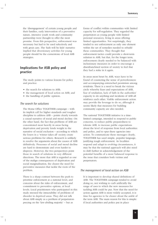the 'disengagement' of certain young people and their families, early intervention of a preventive nature, intensive youth work and community partnership were thought to offer the most promise. From this perspective, enforcement was necessary but had to be used selectively and with great care. The 'kids will be kids' narrative implied that diversionary activities for young people should be the cornerstone of local ASB strategies.

# **Implications for ASB policy and practice**

The study points to various lessons for policy and practice:

- the search for solutions to ASB;
- the management of local action on ASB; and
- the handling of public opinion.

#### *The search for solutions*

The Home Office TOGETHER campaign – with its implicit call for higher standards and tougher discipline to address ASB – points clearly towards a causal narrative of social and moral decline. On the other hand, the fact that problems of ASB are concentrated most heavily in areas facing deprivation and poverty lends weight to the narrative of social exclusion – according to which the losers in a 'winner takes all' society create serious problems for others. Research is unlikely to resolve the arguments about the causes of ASB definitively. Processes of social and moral decline are hard to demonstrate and even harder to disprove. However, the two perspectives point those in search of solutions in very different directions. The more that ASB is regarded as one of the malign consequences of deprivation and social marginalisation, the clearer the need for preventive measures that tackle the roots of the problem.

There is a sharp contrast between the push to prioritise enforcement at a national level, and concerns about the risks of enforcement, and commitment to preventive options, at local levels. Local practitioners who participated in this study stressed the intractability of problems of disorder in deprived areas. They did not talk about ASB simply as a problem of perpetrators preying on the 'law-abiding majority' – but as

forms of conflict within communities with limited capacity for self-regulation. They regarded the perpetrators as young people with limited personal resources, living in areas offering limited opportunities. Not surprisingly, they tended to see enforcement as only one element within the set of remedies needed to rebuild these communities. They thought that enforcement tactics could provide a short-term solution to ASB, but that, for the longer term, enforcement clearly needed to be balanced with inclusionary measures in order to encourage a disenfranchised section of society to feel that they had a stake in it again.

In areas most beset by ASB, ways have to be found of countering the sense of powerlessness and accompanying entrenched pessimism among residents. There is a need to break the vicious circle whereby fears and expectations of ASB, fear of retaliation, lack of faith in the authorities' capacity to do anything and incidents of ASB all reinforce each other. Visible enforcement action may provide the leverage to do so, although it seems likely that measures for building community capacity are also needed.

The national TOGETHER initiative is a timelimited campaign*,* intended to respond to public concerns, to reduce public preparedness to tolerate ASB, to increase public expectations about the level of response from local authorities and police, and to spur these agencies into action. To communicate these messages clearly, TOGETHER has used simple, populist language, justifying tough enforcement. As localities respond and adapt to evolving circumstances, it may be that the national approach will also need to shift further in acknowledgement of the potential benefits of a more balanced response to the issue that considers both victims and perpetrators.

#### *The management of local action on ASB*

It is important to develop shared definitions of ASB. The TOGETHER campaign tended to avoid doing so, not wishing to curb artificially the range of uses to which the new measures for tackling ASB could be put. Now that the need for action against ASB is more widely accepted, it is time for agencies to be clearer about the ambit of the term ASB. The main reason for this is simple: if local authorities and police put in place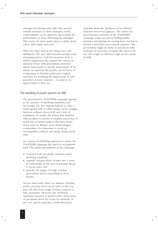strategies for dealing with ASB, they need to commit resources to these strategies, clarify responsibilities across agencies and manage the performance of those delivering the strategies. This cannot be done unless there is clarity about where ASB begins and ends.

There are other reasons for taking care with definitions. The new ASB remedies include some sweeping powers. Civil law measures such as ASBOs supplement the criminal law system of deterrent threat with personalised deterrent threats tailor-made to specific perpetrators. If the threats are ignored, the penalty can be heavy. It is important to develop much more explicit rationales for justifying the deployment of such powerful civil law remedies – in order to set agreed limits to their use.

#### *The handling of public opinion on ASB*

The government's TOGETHER campaign appeals to the narrative of declining standards, and encourages the 'law-abiding majority' to take a stand against ASB. It offers images of the struggle between ordinary decent folk and a tide of loutishness. In reality, the factors that underlie ASB are likely to involve a complex interaction of social and economic policies that have borne down hard on Britain's most disadvantaged communities. It is important to avoid an oversimplified political and media debate about ASB.

As a means of mobilising agencies to action, the TOGETHER campaign has much to recommend itself. The public presentation of the campaign:

- resonates with real public anxieties about declining standards;
- cogently reshapes these worries into a sense of vulnerability in the face of pressing threats to social order; and
- presents the image of tough, resolute government action responding to these threats.

On the other hand, there are minuses. Fuelling public concerns about social order in this way pays off only if the tough, resolute response is fully persuasive. However, the 'declining standards' narrative is infused with a deep sense of pessimism about the scope for solutions of any sort, and in particular a well-entrenched

cynicism about the likelihood of an effective response from local agencies. The media and presentational elements of the TOGETHER campaign could succeed in fuelling public anxieties and playing on existing fears, but fail to present a persuasive government response. The government might do better to present its ASB strategies in ways that recognise the need to be not only tough on ASB but tough on the causes of ASB.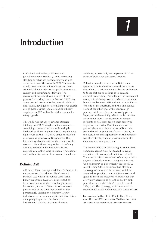# *1*

# **Introduction**

In England and Wales, politicians and practitioners have since 1997 paid increasing attention to what has become known as 'antisocial behaviour' (henceforth ASB). The term is usually used to cover minor crimes and nearcriminal behaviour that cause public annoyance, anxiety and disruption to daily life. The government has introduced a range of new powers for tackling those problems of ASB that cause greatest concern to the general public. At local levels, key agencies are making ever-greater use of these powers, and are placing a heavy emphasis on ASB within the wider community safety agenda.

This study was set up to advance strategic thinking on ASB. Through empirical research – combining a national survey with in-depth fieldwork in three neighbourhoods experiencing high levels of ASB – we have aimed to develop principles for effective ASB responses. This introductory chapter sets out the context of the research. We address the problem of defining ASB and consider why and how ASB has emerged as a policy issue in Britain. The chapter ends with a discussion of our research methods.

# **Defining ASB**

ASB is a difficult concept to define. Definitions in statute are very broad: the 1998 Crime and Disorder Act, which introduced Anti-Social Behaviour Orders (ASBOs), defines ASB as behaviour that 'caused or was likely to cause harassment, alarm or distress to one or more persons not of the same household as [the perpetrator]'. Legislation obviously favours inclusiveness, but as an analytic definition this is unhelpfully vague (see Jacobson et al, forthcoming). While it excludes domestic

incidents, it potentially encompasses all other forms of behaviour that cause offence.

Behaviour usually viewed as ASB lies on a spectrum of misbehaviours from those that are too minor to merit intervention by the authorities to those that are so serious as to demand criminal prosecution. The difficulty, in conceptual terms, is in defining how and where to draw the boundaries between ASB and minor incivilities at one end of the spectrum, and ASB and serious crime at the other end of the spectrum. In practice, subjective factors necessarily play a large part in determining where the boundaries lie: in other words, the treatment of certain incidents as ASB depends on their perceived impact on the victim. Decisions made on the ground about what is and is not ASB are also partly shaped by pragmatic factors – that is, by the usefulness and applicability of ASB remedies (or, alternatively, criminal prosecution) in the circumstances of a given case.

The Home Office, in developing its TOGETHER campaign against ASB, has tended to avoid grappling with conceptual definitions of ASB. The tone of official statements often implies that anyone of good sense can recognise ASB – or 'yob behaviour' as it is typically described.**<sup>1</sup>** A recent Home Office document has offered a 'typology of anti-social behaviour', which is intended to 'provide a practical framework and guide to the main categories of behaviour that are widely accepted to be anti-social by both practitioners and the public' (Harradine et al, 2004, p 4). The typology, which was used to structure the Home Office 'one-day count' of ASB

**<sup>1</sup>** For example, as by Home Office Minister Hazel Blears, quoted in Home Office press notice 096/2004, concerning the launch of the TOGETHER Actionline and Academy.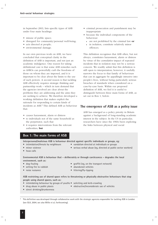in September 2003, lists specific types of ASB under four main headings:

- misuse of public space;
- disregard for community/personal well-being;
- acts directed at people;
- environmental damage.

In our own previous work on ASB, we have concluded that conceptual clarity in the definition of ASB is important, and not just an academic indulgence. One reason for taking definitional care is that some ASB remedies such as ASBOs can powerfully curb the freedoms of those on whom they are imposed, and it is important to be clear about the limits to the use of such powers. A second reason is that tackling ASB effectively requires strategic thinking and partnership work – which in turn demand that the agencies involved are clear about the problems they are addressing and the aims they are seeking to achieve. We therefore developed a working definition that makes explicit the rationale for responding to certain kinds of incidents as ASB.**<sup>2</sup>** This defined ASB as behaviour that:

- causes harassment, alarm or distress
- to individuals not of the same household as the perpetrator, such that
- it requires interventions from the relevant authorities; **but**
- criminal prosecution and punishment may be inappropriate
- because the individual components of the behaviour:
	- ◗ are not prohibited by the criminal law **or**
	- ◗ in isolation, constitute relatively minor offences.

This definition recognises that ASB often, but not always, constitutes harassment, alarm or distress by virtue of the *cumulative* impact of repeated incidents that in isolation may not be a serious concern. We readily admit that this definition is still open to interpretation; however, it usefully narrows the focus to that family of behaviours that can in aggregate be appallingly intrusive into people's lives, without being particularly serious breaches of standards when considered on a case-by-case basis. Within our proposed definition of ASB, we feel it is useful to distinguish between three main forms of ASB, as set out in Box 1, below.

### **The emergence of ASB as a policy issue**

ASB has emerged as a policy priority in Britain against a background of long-standing academic interest in the subject. In the US in particular, researchers have since the 1960s been exploring the links between physical and social

# **Box 1: The main forms of ASB**

**Interpersonal/malicious ASB is behaviour directed against specific individuals or groups, eg:**

- intimidation/threats by neighbours vandalism directed at individuals or groups
	-
- minor violence serious verbal abuse (eq, directed at public sector workers)

**Environmental ASB is behaviour that – deliberately or through carelessness – degrades the local environment, such as:**

• hoax calls

- setting fire to rubbish abandoned vehicles
- 
- dog-fouling dog-fouling graffiti (eg, on the transport network)
	-
- noise nuisance littering/fly-tipping

#### **ASB restricting use of shared space refers to threatening or physically obstructive behaviours that stop people using shared spaces, such as:**

- intimidating behaviour by groups of youths soliciting and kerb-crawling
	-
- drug abuse in public places obstructive/inconsiderate use of vehicles
- street drinking/drunkenness
- **<sup>2</sup>** This definition was developed through collaborative work with the strategic agencies responsible for tackling ASB in London (see GLA, 2004; see also Millie et al, forthcoming).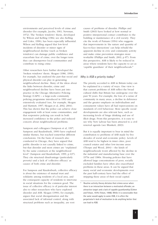environments and perceived levels of crime and disorder (for example, Jacobs, 1961; Newman, 1972). The 'broken windows' thesis, developed by Wilson and Kelling (1982; see also Kelling and Coles, 1996), has been especially influential. Wilson and Kelling argued that low-level incidents of disorder or minor signs of neighbourhood decline (such as broken windows) can damage public confidence and exacerbate fear of crime; over the longer term they can disempower local communities and contribute to rising crime.

Other researchers have further developed the 'broken windows' thesis. Skogan (1986, 1990), for example, has analysed the part that social and physical disorder can play in generating neighbourhood decline. Many of the ideas about the links between disorder, crime and neighbourhood decline have been put into practice in the Chicago Alternative Policing Strategy (CAPS) – a large-scale community policing programme introduced in 1993 and extensively evaluated (see, for example, Skogan and Hartnett, 1997; Skogan et al, 2002, 2004). This has shown that the police can achieve close engagement with at least some communities, and that responsive policing can result in both increased confidence in the police and reduced concern about neighbourhood problems.

Sampson and colleagues (Sampson et al, 1997; Sampson and Raudenbush, 1999) have explored similar themes, but reached somewhat different conclusions. On the basis of research also conducted in Chicago, they have argued that public disorder is not causally linked to crime, but that disorder and most crimes are "explained by the same constructs at the neighborhood level" (Sampson and Raudenbush, 1999, p 637). They cite structural disadvantage (particularly poverty) and a lack of 'collective efficacy' as causes of both crime and disorder.

For Sampson and Raudenbush, collective efficacy is about the existence of mutual trust and solidarity among residents of a local area, and the consequent capacity of residents to intervene in social situations for the common good. The issue of collective efficacy is of particular interest also to other researchers who have explored disorder and ASB. Skogan (1990), for example, argues that social disorganisation and the associated lack of informal control, along with structural problems such as inequality, are root

causes of problems of disorder. Phillips and Smith (2003) have looked at how normal or positive interpersonal contact contributes to the building or maintenance of a civil society. They cite the work of Putnam (1994) who suggests that improvements in 'the nature and quantity of face-to-face interactions' can help rebuild the apparent decline in civic and community activity and make crime prevention strategies more workable (Phillips and Smith, 2003, p 87). From this perspective, ASB is likely to be reduced in areas where residents have the capacity to act as 'capable guardians' of their neighbourhoods.**<sup>3</sup>**

#### *Why is ASB a priority today?*

The priority accorded to ASB in Britain today can be explained in a variety of ways. One view is that current problems of ASB reflect the broad cultural shifts that Britain has undergone over the past 50 years. For example, the loss of a sense of community in many areas, a decline in deference and the greater emphasis on individualism and consumerist values have all had repercussions on standards of civil behaviour. More specific social developments are also relevant here, such as increasing levels of binge drinking and use of illicit drugs. From this perspective, it is easy to see why New Labour has been attracted to a civil renewal agenda (see Blunkett, 2003).

But it is equally important to bear in mind the contribution to problems of ASB made by five decades of social and economic policy. Levels of ASB tend to be highest in inner cities, poor council estates and other low-income areas (Thorpe and Wood, 2004) – the kinds of neighbourhoods worst affected by the decline in the industrial and manufacturing base over the 1970s and 1980s. Housing policies that have allowed large concentrations of poor, socially excluded families have often also exacerbated problems in these areas. It can be argued that many social and economic developments over the past half-century have had the effect of stripping these areas of their social capital.

**<sup>3</sup>**Routine activity theory dictates that crimes occur when there is an interaction between a motivated offender, an attractive target and a lack of capable guardianship (Cohen and Felson, 1979; Felson, 1998). While it is conceivable that the same would apply to some ASB, it is often the perpetrator's *lack* of motivation to do anything better that can lead to ASB.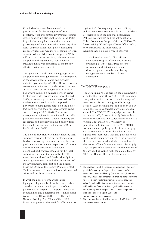If such developments have created the preconditions for the emergence of ASB problems, local and central government criminal justice policies are also implicated. In the 1980s in particular, many local authorities and the police regarded each other with grave suspicion. Many councils established 'police monitoring groups', whose aim was more to contain or even subvert police activity than to support it. While ASB was an issue at that time, relations between the police and city councils were often so fractured that it was impossible to mount any effective action to counter it.

The 1990s saw a welcome bringing together of the police and local government – as exemplified in the development of crime and disorder reduction partnerships (CDRPs). However, central government initiatives to tackle crime have been at the expense of action against ASB. Policing has always involved a balance between crime fighting and order maintenance. Since the mid-1990s, successive governments have followed a modernisation agenda that has imposed performance management targets on the police that have skewed their function towards crime control (Hough, 2003, 2004). Performance management regimes in the mid- and late-1990s prioritised 'volume crime' (such as burglary and car crime) and implicitly removed priority from individually less serious incidents of ASB (see FitzGerald et al, 2002).

The hole in provision was initially filled by local authority housing officers or registered social landlords whose agenda, understandably, was predominantly to remove perpetrators of serious ASB from their properties. From 2000, neighbourhood warden schemes run by local authorities, or under the umbrella of CDRPs, were also introduced and funded directly from central government through the Department of the Environment, Transport and the Regions (now the Office of the Deputy Prime Minister). Their remit was to focus on minor environmental crime and public reassurance.

In 2001 the police reform White Paper highlighted high levels of public concern about disorder, and the critical importance of the police's role in helping to 'support decent civil communities' and addressing 'more minor social issues' (Home Office, 2001, p 84). The first National Policing Plan (Home Office, 2002) likewise emphasised the need for effective action against ASB. Consequently, current policing policy now also covers the policing of disorder – as exemplified in the National Reassurance Policing Programme<sup>4</sup> and the introduction of Police Community Support Officers (PCSOs). The latest policing White Paper (Home Office 2004a, p 7) emphasises the importance of neighbourhood policing, which involves:

... dedicated teams of police officers, community support officers and wardens providing a visible, reassuring presence, preventing and detecting crime and developing a constructive and lasting engagement with members of their community.

#### *The TOGETHER campaign*

Today, tackling ASB is high on the government's agenda. The Home Office TOGETHER campaign, along with the introduction of a wide range of new powers for responding to ASB through a series of Acts of Parliament,<sup>5</sup> can be seen as part of an exercise in *rebalancing* systems of social control. The TOGETHER campaign was launched in autumn 2003, followed in early 2004 with a series of roadshows, the establishment of an ASB 'Action Line' and an ASB 'Academy' of practitioners. In the words of the TOGETHER website (www.together.gov.uk), it is 'a campaign across England and Wales that takes a stand against anti-social behaviour and puts the needs of the local community first'. This 'no nonsense' rhetoric has continued with the publication of the Home Office's five-year strategic plan in July 2004. As part of an agenda to 'put the interests of the law-abiding citizen first', the plan is that, by 2008, the Home Office will have in place:

**<sup>4</sup>** The development of the reassurance programme has been partly informed by the 'signal crimes perspective' of researchers Innes and Fielding (eg, Innes, 2004; Innes and Fielding, 2002). Their contention is that residents' reactions to local 'signal' incidents determine whether they fear crime. Signal incidents may range from serious crimes to ASB incidents. Once identified, signal incidents can be countered by 'control signals' that reassure the public. (See also Millie and Herrington, 2005; and www.reassurancepolicing.co.uk.)

**<sup>5</sup>** The most significant of which, in terms of ASB, is the 2003 Anti-Social Behaviour Act.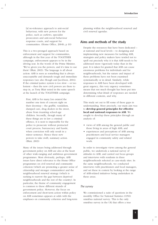[a] no-tolerance approach to anti-social behaviour, with new powers for the police, such as curfews, specialist prosecutors and anti-social behaviour response courts, and support for communities. (Home Office, 2004b, p 10)

This is a two-pronged approach based on enforcement and support for communities, although in the first year of the TOGETHER campaign, enforcement appears to be in the driving seat. In the words of the Prime Minister, 'We've given you the powers, and it's time to use them' (Blair, 2003). The language is all about action: ASB is seen as something that is always unacceptable and demands tough and immediate responses (see also Hough and Jacobson, 2004). If the criminal justice system is too slow – or too lenient – then the new civil powers are there to step in, as Tony Blair noted in the same speech at the launch of the TOGETHER campaign:

First, ASB is for many [on estates] the number one item of concern right on their doorstep – the graffiti, vandalism, dumped cars, drug dealers in the street, abuse from truanting school-age children. Secondly, though many of these things are in law a criminal offence, it is next to impossible for the police to prosecute without protracted court process, bureaucracy and hassle, when conviction will only result in a minor sentence. Hence these new powers to take swift, summary action. (Blair, 2003)

Many of the issues being addressed through government policy on ASB are also at the heart of other wide-ranging and ambitious government programmes. Most obviously, perhaps, ASB issues have direct relevance to the Home Office programmes on civil renewal and community cohesion (which are promoting a greater sense of citizenship and stronger communities) and the neighbourhood renewal strategy (which is seeking to narrow the gap between deprived neighbourhoods and the rest of the country). In particular, the theme of community engagement is common to these different strands of government policy. However, the focus on enforcement and short-term action within policy on ASB sometimes appears at odds with the emphases on community cohesion and long-term

planning within the neighbourhood renewal and civil renewal agendas.

#### **Aims and methods of the study**

Despite the resources that have been dedicated – at national and local levels – to designing and implementing new measures for tackling ASB, strategists and policy makers have tended not to spell out precisely why it is that ASB needs to be addressed more vigorously today than in the past. It is taken for granted that ASB can cause enormous problems for individuals and for neighbourhoods, but the nature and impact of these problems have not been examined systematically or in detail. Similarly, while responses to ASB have been developed with great urgency, this very urgency sometimes means that not much thought has been put into determining what *kinds* of responses are needed in different contexts, and why.

This study set out to fill some of these gaps in understanding. More precisely, our main aim was to **develop general principles for effective local and national responses to ASB**. We sought to develop these principles through an analysis of:

- views of ASB among the general public and those living in areas of high ASB; and
- experiences and perceptions of ASB among practitioners and local service managers engaged in community safety and related work.

In order to investigate views among the general public, we undertook a national survey of attitudes to ASB, and carried out focus groups and interviews with residents in three neighbourhoods selected as case-study sites. In the same neighbourhoods, we conducted interviews with practitioners and local managers, and set these in context by looking at the range of ASB-related initiatives being undertaken in these areas.

#### *The survey*

We commissioned a suite of questions in the monthly Office for National Statistics (ONS) omnibus national survey. This is the only omnibus survey in the UK that offers a true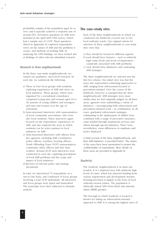probability sample of the population aged 16 or over, and it typically achieves a response rate of around 65%. Seventeen questions on ASB were included in the April 2004 ONS survey, which had a sample size of 1,678. These questions (listed in Appendix A) explored respondents' views on the nature of ASB and the problems it causes, and methods of tackling ASB. In analysing the ONS findings, we have looked also at findings of other relevant attitudinal research.

#### *Research in three neighbourhoods*

In the three case-study neighbourhoods, we carried out qualitative, micro-level research. In each site, we undertook the following:

- a) Three or four focus groups with residents, exploring experiences of ASB and views on local initiatives. These groups, which were organised by a recruitment consultancy, comprised young men and women aged 16 to 18; parents of young children and teenagers; and men and women over the age of retirement.
- b) Semi-structured interviews with representatives of local community associations, who were also local residents. These interviews again focused on the respondents' experiences of ASB, and also explored the ways in which residents can be active partners in local initiatives on ASB.
- c) Semi-structured interviews with officers from key agencies, including ASB coordinators, police officers, wardens, housing officers, Youth Offending Team (YOT) representatives, community safety officers and Sure Start workers. Around 20-25 such interviews were conducted in each site, exploring perceptions of local ASB problems and the scope and impact of local initiatives.
- d) Reviews of relevant policy and strategy documents.

In total, we interviewed 73 respondents on a one-to-one basis, and conducted 10 focus groups involving a total of 85 individuals. All interviews and focus groups were taped and transcribed. The transcripts were then subjected to thematic analysis.

### **The case-study sites**

Each of the three neighbourhoods in which we conducted our fieldwork covered one to two local authority wards. Our original criteria for selection of these neighbourhoods as case-study sites were that:

- a) they should be located in different regions;
- b) each should have features such as relatively high crime levels and levels of deprivation – commonly associated with ASB problems;
- c) each should have distinctive and contrasting ASB strategies.

The three neighbourhoods we selected met the first two criteria. Our initial view was that the areas also represented contrasting approaches to ASB, ranging from enforcement-focused to prevention-oriented. Over the course of the fieldwork, however, it emerged that the three neighbourhoods' ASB strategies were more similar than we had originally judged. In all three areas, agencies were undertaking a variety of initiatives – encompassing both enforcement and prevention-oriented work – in combination. In all cases, graduated enforcement strategies culminating in the deployment of ASBOs were combined with a range of preventive measures, some funded through mainstream services and others through special initiatives. There were, nevertheless, some differences in emphasis and tactics deployed.

A brief account of the three neighbourhoods, and their ASB initiatives, is provided below. The names of the areas have been anonymised to protect the confidentiality of respondents. More details on these areas are provided in Appendix B.

#### *Southcity*

The Southcity neighbourhood is in inner-city London. It is a deprived area with relatively high levels of crime, which has attracted funding from various regeneration and development streams. Housing provision is largely in the form of local authority-owned estates. The population is ethnically mixed (26% from black and minority ethnic [BME] groups).

The borough in which Southcity is located is known for taking an enforcement-oriented approach to ASB. It is among the highest users of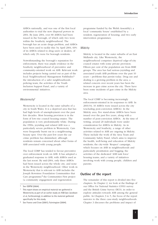ASBOs nationally, and was one of the first local authorities to trial the new dispersal powers in 2004. By June 2004, over 80 ASBOs had been issued in the borough, of which only two were within the Southcity neighbourhood. The borough has an acute drugs problem, and ASBOs have been used to tackle this: by April 2004, 60% of its ASBOs related to drug users or dealers, of which only 3% were for borough residents.

Notwithstanding the borough's reputation for enforcement, there was ample evidence in the Southcity neighbourhood of preventive and community-oriented work on ASB. Relevant work includes projects being carried out as part of the local Neighbourhood Management Pathfinder,**<sup>6</sup>** the introduction of a safer neighbourhoods policing team, the activities of the Youth Inclusion Support Panel, and a variety of environmental initiatives.

#### *Westerncity***<sup>7</sup>**

Westerncity is located in the outer suburbs of a city in South Wales. It is a deprived area that has had high levels of unemployment over the past few decades. Most housing provision is in the form of low-rise council housing estates. The population is very predominantly white. During the 1990s, joyriding and related ASB was a particularly severe problem in Westerncity. Cars were frequently burnt out in a neighbouring beauty spot. Over the past few years the car crime problem has diminished, although residents remain concerned about other forms of ASB associated with young people.

The local CDRP has tended to favour preventive over enforcement work on ASB. It has adopted a graduated response to ASB, with ASBOs used as the last resort. By mid-2004, only three ASBOs had been issued across the whole city, and none in the Westerncity neighbourhood. Other work in Westerncity that is relevant to ASB includes the Joseph Rowntree Foundation Communities that Care programme;<sup>8</sup> the Communities First project (a community engagement and regeneration

programme funded by the Welsh Assembly); a local 'community house' established by a resident; regeneration of housing; and two early intervention programmes.

#### *Midcity*

Midcity is located in the outer suburbs of an East Midlands city. Like Westerncity, the neighbourhood comprises deprived edge-of-city council estates with some private provision. Fifteen per cent of the population are from BME groups. The area has had serious joyriding and associated youth ASB problems over the past 10 years – problems that persist today. Drug use and dealing is a growing problem in the area; a related concern over recent years has been the increase in gun crime across the city. There have been some incidents of gun crime in the Midcity area.

The local CDRP is becoming increasingly enforcement-oriented in its responses to ASB. In 2003/04, 10 ASBOs were issued across the city (excluding post-conviction ASBOs). In the Midcity area, five stand-alone ASBOs have been issued over the past five years, along with a number of post-conviction ASBOs. At the time of writing, around 20 individuals were under consideration for ASBOs in Midcity. As in Westerncity and Southcity, a range of other activities related to ASB are ongoing in Midcity. These include the work of the Area Team and Community Safety Panel, which aims to improve the health, well-being and education of Midcity residents; the city-wide 'Respect' campaign, which focuses on ASB in neighbourhoods and particularly prostitution and begging; the activities of the dedicated 'ASB task force' housing teams; and a variety of initiatives involving work with young people, children and parents.

#### **Outline of the report**

The remainder of this report is divided into five chapters. In Chapter 2, we look at the findings of our Office for National Statistics (ONS) survey and the British Crime Survey (BCS), in order to explore attitudes towards ASB among the general public. In Chapters 3 to 5, the focus of the report narrows to the three case-study neighbourhoods. Chapter 3 discusses the problems and impact of

**<sup>6</sup>** See ODPM (2004).

**<sup>7</sup>** This report draws on empirical material we gathered in Westerncity as part of an earlier study on ASB (see Jacobson et al, forthcoming), in addition to the material gathered specifically for this study.

See France and Crow (2001); Fairnington (2004).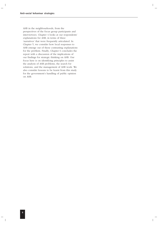ASB in the neighbourhoods, from the perspectives of the focus group participants and interviewees. Chapter 4 looks at our respondents' explanations for ASB, in terms of three 'narratives' that were frequently articulated. In Chapter 5, we consider how local responses to ASB emerge out of these contrasting explanations for the problem. Finally, Chapter 6 concludes the report with a discussion of the implications of our findings for strategic thinking on ASB. Our focus here is on identifying principles to assist the analysis of ASB problems, the search for solutions, and the management of ASB work. We also consider lessons to be learnt from this study for the government's handling of public opinion on ASB.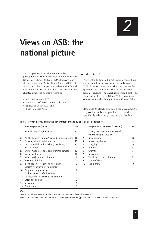# **Views on ASB: the national picture**

This chapter explores the general public's perceptions of ASB. It presents findings from our Office for National Statistics (ONS) survey, and also draws on the British Crime Survey (BCS). We aim to describe how people understand ASB and what impact it has on their lives. In particular the chapter discusses people's views on:

- what constitutes ASB;
- the impact of ASB on their daily lives;
- causes of youth ASB; and
- how to tackle ASB.

### **What is ASB?**

We wanted to find out what issues people think are included in the government's ASB strategy. Half of respondents were asked an open-ended question, and half were asked to select items from a checklist. The checklist included problems included in the Home Office ASB typology and others not usually thought of as ASB (see Table 1).

Respondents clearly associated the government's approach to ASB with problems of disorder, specifically related to young people. For both

|    | Free responses <sup>a</sup> $(n=831)$                                    | 0/0            |     | Responses to checklist <sup>b</sup> ( $n=847$ )          | 0/0 |
|----|--------------------------------------------------------------------------|----------------|-----|----------------------------------------------------------|-----|
| 1. | Vandalism/graffiti/hooligans                                             | 17             | 1.  | Rowdy teenagers on the streets/<br>youths hanging around | 71  |
| 2. | Youths hanging around/people being a nuisance                            | 16             | 2.  | Drug dealing                                             | 63  |
| 3. | Drinking, drunk and disorderly                                           | 15             | 3.  | Noisy neighbours                                         | 44  |
| 4. | Unacceptable/bad behaviour; rowdyism;                                    | 13             | 4.  | Mugging                                                  | 44  |
|    | bad language                                                             |                | 5.  | <b>Burglary</b>                                          | 42  |
| 5. | Crime: muggings; burglary; criminal damage                               | 12             | 6.  | Graffiti                                                 | 34  |
| 6. | Noisy neighbours                                                         | 10             | 7.  | Speeding                                                 | 34  |
| 7. | Noise; traffic noise; pollution                                          | 8              | 8.  | Traffic noise and pollution                              | 22  |
| 8. | Violence; fighting                                                       | 7              | 9.  | None of these                                            | 2   |
| 9. | Intimidation; offensive/threatening/<br>aggressive behaviour; harassment | 7              | 10. | Don't know                                               | 8   |
|    | 10. Drug use; drug dealing                                               | 6              |     |                                                          |     |
|    | 11. Yobbish behaviour/yob culture                                        | 4              |     |                                                          |     |
|    | 12. Disruption/disturbance to community                                  | $\overline{2}$ |     |                                                          |     |
|    | 13. Litter; fly-tipping                                                  | 2              |     |                                                          |     |
|    | 14. Speeding                                                             |                |     |                                                          |     |
|    | 15. Don't know                                                           | 5              |     |                                                          |     |

#### **Table 1: What do you think the government means by anti-social behaviour?**

*Notes:*

**a** Question: 'What do you think the government means by anti-social behaviour?'

**b** Question: 'Which of the problems on this card do you think the [government's] strategy is aiming to reduce?'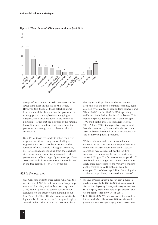



groups of respondents, rowdy teenagers on the street came high on the list of ASB issues. However, two thirds of those selecting items from the checklist thought that the government strategy placed an emphasis on mugging or burglary, and a fifth included traffic noise and pollution – issues that are not part of the national focus. It seems, therefore, that many think the government's strategy is even broader than it currently is.

Only 6% of those respondents asked for a free response mentioned drug use or dealing – suggesting that such problems are not at the forefront of most people's thoughts. However, 63% of respondents choosing from the checklist cited drug dealing as an issue targeted by the government's ASB strategy. By contrast, problems associated with drink were more commonly cited in the free response – by 15% of people.

#### *ASB in the local area*

Our ONS respondents were asked what was the worst form of ASB in their local area. No prompt was used for this question, but over a quarter (27%) came up with the same answer: rowdy teenagers on the street/youths hanging about (see Figure 1). The BCS also points to relatively high levels of concern about 'teenagers hanging around'. When asked in the 2002/03 BCS about

the biggest ASB problem in the respondents' area, this was the most common response, again selected by a quarter of respondents (Thorpe and Wood, 2004). In the 2003/04 BCS, speeding traffic was included in the list of problems. This option displaced teenagers by a small margin: 19% cited traffic and 17% teenagers (Wood, 2004).**<sup>9</sup>** Since 1992, 'teenagers hanging around' has also consistently been within the top three ASB problems described by BCS respondents as 'big or fairly big' local problems.**<sup>10</sup>**

While environmental crime attracted some concern, more than one in six respondents said there was no ASB where they lived. Logistic regression was carried out on the top five responses to determine the key predictors of 'worst ASB' type (for full results see Appendix C). We found that younger respondents were more likely than their elders to cite 'rowdy teenagers' as the worst local ASB problem: with, for example, 32% of those aged 16 to 24 seeing this as the worst problem, compared with 18% of

**<sup>9</sup>** The issue of 'speeding traffic' had not been included in previous surveys. In the 2003/04 BCS, although second to the problem of speeding, 'teenagers hanging around' was still a long way ahead of the next 'biggest problem': drug use and dealing, cited by 9% (Wood, 2004).

**<sup>10</sup>** In the 2003/04 BCS, 29% of respondents cited rubbish or litter as a fairly/very big problem; 28% vandalism and graffiti; and 27% teenagers hanging around (Wood 2004).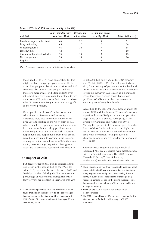|                               | Don't know/doesn't | Occurs, and         | Occurs and fairly/ |                     |
|-------------------------------|--------------------|---------------------|--------------------|---------------------|
| $n=1,682$                     | occur/ no effect   | <i>minor</i> effect | very big effect    | Effect (all levels) |
| Rowdy teenagers in the street | 49                 | 32                  | 19                 | 51                  |
| Drug use/dealing              | 65                 | 17                  | 17                 | 34                  |
| Vandalism/graffiti            | 46                 | 38                  | 17                 | 55                  |
| Litter/rubbish                | 42                 | 41                  | 17                 | 58                  |
| Abandoned/burnt-out vehicles  | 73                 | 19                  | 10                 | 29                  |
| Noisy neighbours              | 76                 | 15                  | 9                  | 24                  |
| Begging                       | 88                 |                     | 6                  | 13                  |

#### **Table 2: Effects of ASB issues on quality of life (%)**

*Note:* Percentages may not add up to 100% due to rounding.

those aged 65 to 74.**<sup>11</sup>** One explanation for this might be that younger people are more likely than older people to be victims of crime and ASB committed by other young people, and are therefore more aware of it. Respondents over retirement age were less likely than others to say there were ASB problems in their area; and those who did were more likely to cite litter and graffiti as the worst problem.

Other predictors of 'worst' problems include educational achievement and ethnicity. Graduates were less likely than others to cite drug use and dealing as the worst form of ASB where they lived – perhaps because they tend to live in areas with fewer drug problems – and more likely to cite litter and rubbish. Younger respondents and respondents from BME groups were the most likely to consider drug use and dealing to be the worst form of ASB in their area. Again, these findings may reflect their greater exposure to problems associated with drug use.

#### **The impact of ASB**

BCS figures suggest that public concern about ASB grew in the second half of the 1990s (as crime fell), but then plateaued between 2000 and 2002/03 and then fell slightly. For instance, the percentage of respondents saying ASB was a fairly or very big problem in their area was 21%

in 2002/03, but only 16% in 2003/04**<sup>12</sup>** (Finney and Toofail, 2004, p 19). These figures indicate that, for a majority of people across England and Wales, ASB is not a major concern. For a minority of people, however, ASB clearly is a significant issue. Moreover, surveys show that serious problems of ASB tend to be concentrated in certain types of neighbourhoods.

According to the 2003/04 BCS, those in inner-city areas (34%) and 'hard-pressed'**<sup>13</sup>** areas (31%) were significantly more likely than others to perceive high levels of ASB (Wood, 2004, p 15). (The average for England and Wales was 16%.) Twenty-five per cent of Londoners perceived the levels of disorder in their area to be 'high', but within London there was a marked inner–outer split, with perceptions of higher levels of disorder among inner-city Londoners (Moore and Yeo, 2004).

Other research suggests that high levels of perceived ASB are associated with dissatisfaction with one's neighbourhood. The 2002 London Household Survey**<sup>14</sup>** (see Millie et al, forthcoming) revealed that Londoners who are

- **<sup>12</sup>** These figures are derived from responses to questions about seven individual ASB issues: abandoned or burnt-out cars; noisy neighbours or loud parties; people being drunk or rowdy in public places; people using or dealing drugs; teenagers hanging around on the streets; rubbish or litter lying around; and vandalism, graffiti and other deliberate damage to property.
- **<sup>13</sup>** Based on the ACORN classification of residential neighbourhoods.
- **<sup>14</sup>** The 2002 London Household Survey was conducted for the Greater London Authority, with a sample of 8,000 households.

**<sup>11</sup>** A similar finding emerged from the 2003/04 BCS, which found that 22% of those aged 16 to 24 cited teenagers hanging around as the biggest problem, compared with 13% of 65 to 74 year-olds and 8% of those aged 75 and over (Wood, 2004).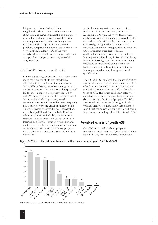fairly or very dissatisfied with their neighbourhoods also have serious concerns about ASB and crime in general. For example, of respondents who were very dissatisfied with their neighbourhood, 64% also thought that vandalism and hooliganism were a serious problem, compared with 13% of those who were very satisfied. Similarly, 41% of the 'very dissatisfied' saw troublesome teenagers/children as a problem, compared with only 4% of the 'very satisfied'.

#### *Effects of ASB issues on quality of life*

In the ONS survey, respondents were asked how much their quality of life was affected by different ASB issues. Unlike the question on 'worst ASB problem', responses were given to a set list of concerns. Table 2 shows that quality of life for most people is not greatly affected by ASB. Mirroring responses to the BCS question of 'worst problem where you live', 'rowdy teenagers' was the ASB issue that most frequently had a fairly or very big effect on quality of life. This was closely followed by drug use/dealing, vandalism/graffiti and litter/rubbish. If 'minor effect' responses are included, the issue most frequently said to impact on quality of life was litter/rubbish (58%). However, while litter and graffiti are pervasive, we might surmise that they are rarely seriously intrusive on most people's lives, as this is not an issue people raise in local discussions.

Again, logistic regression was used to find predictors of impact on quality of life (see Appendix C). As with the 'worst form of ASB' analysis, people of retirement age were less likely than others to be affected by rowdy teenagers. Conversely, being aged 30 or under was a predictor that rowdy teenagers affected your life. Other predictors were lack of formal qualifications, renting from the local authority/ housing association, living in London and being from a BME background. For drug use/dealing, predictors of effect were being from a BME background, renting from the local authority/ housing association, and having no formal qualifications.

The 2003/04 BCS explored the impact of ASB by asking whether any of 16 behaviours had a 'bad effect' on respondents' lives. Approaching two thirds (61%) reported no bad effects from these types of ASB. The issues cited most often were speeding traffic and teenagers hanging around (both mentioned by 11% of people). The BCS also found that respondents living in 'hardpressed' areas were more likely than others to report that young people hanging around had a high impact on their quality of life (Wood, 2004).

### **Perceived causes of youth ASB**

Our ONS survey asked about people's perceptions of the causes of youth ASB, picking up on this key area of concern. Respondents



**Figure 2: Which of these do you think are the three main causes of youth ASB? (n=1,682)**

*Note:* Percentages do not add up to 100 as this question is multi-coded.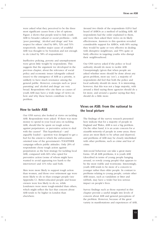were asked what they perceived to be the three most significant causes from a list of options. Figure 2 shows that people tend to link youth ASB to broader cultural or social problems – with 'poor parenting', 'alcohol and drugs' and 'low respect for others' cited by 68%, 52% and 51% respectively. Another major cause of youthful ASB was thought to be boredom and not enough to do (cited by 58% of respondents).

Ineffective policing, poverty and unemployment were given little weight by respondents. This suggests that the argument we developed in the previous chapter, about the relevance of social policy and economic issues (alongside cultural issues) to the emergence of ASB as a priority, is unlikely to have much resonance among the general public. However, concepts such as 'poor parenting' and 'alcohol and drugs' are very broad. Respondents who cite these as causes of youth ASB may have a wide range of views on how and why these factors contribute to the problem.

### **How to tackle ASB**

Our ONS survey also looked at views on tackling ASB. Respondents were asked: 'If there was more money to spend in your local area on tackling ASB, should this be spent on tough action against perpetrators, or preventive action to deal with the causes?' This hypothetical – and arguably loaded – question was designed to get a feel for the extent to which the enforcementoriented tone of the government's TOGETHER campaign reflects public attitudes. Only 20% of respondents chose tough action against perpetrators as the best strategy for tackling local ASB, compared with 66% who opted for preventive action (some of whom might have wanted to avoid appearing too harsh to the interviewer) and 11% who said both.

Men were more likely to support tough action than women, and those over retirement age were more likely to do so than younger people (see Appendix C). Better-educated people and house owners were less likely to do so, while Londoners were more tough-minded than others, which might reflect the fact that concern about ASB tends to be higher in London than elsewhere.

Around two thirds of the respondents (63%) had heard of ASBOs as a method of tackling ASB. All respondents had the order explained to them, and were then asked their views on its likely effectiveness. Answers to this question revealed considerable support for ASBOs, with 60% saying they would be quite or very effective in dealing with disruptive neighbours, and 55% quite or fairly effective in targeting youths who disrupt their neighbourhood.

Our ONS survey asked if the police or local authority should do more to tackle ASB. Unsurprisingly (given that when people are asked whether more should be done about any given problem, most say 'yes'), a majority of respondents did feel that both the police and local authority should do more. It is interesting, however, that this was not a large majority, with around a third saying these agencies should do a lot more, and around a quarter saying that they should do a little more.

# **Views on ASB: from the national to the local picture**

The findings of the survey research presented here indicate that for a majority of people in England and Wales, ASB is not a big problem. On the other hand, it is an acute concern for *a sizeable minority* of people in *some* areas; these areas are most likely to be urban and deprived, and problems of ASB may be closely interlinked with other problems, such as crime and fear of crime.

Anti-social behaviour can take a great many forms. Of all ASB problems, it is youth ASB (described in terms of young people hanging around, or rowdy young people) that appears to be the most visible and worrisome. Interestingly, youth ASB tends to be more of a concern to younger rather than older people. In contrast to problems relating to young people, certain other ASB issues, such as vandalism or litter and rubbish, may have a wider but less serious impact on people's lives.

Survey findings such as those reported in this chapter provide a useful insight into levels of concern about ASB and general perceptions of the problem. However, because of the great variety in manifestations and experiences of ASB,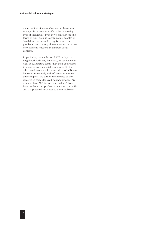there are limitations to what we can learn from surveys about how ASB affects the day-to-day lives of individuals. Even if we consider specific forms of ASB, such as 'rowdy young people' or 'vandalism', we should recognise that these problems can take very different forms and cause very different reactions in different social contexts.

In particular, certain forms of ASB in deprived neighbourhoods may be worse, in qualitative as well as quantitative terms, than their equivalents in more prosperous neighbourhoods. On the other hand, tolerance for some kinds of ASB may be lower in relatively well-off areas. In the next three chapters, we turn to the findings of our research in three deprived neighbourhoods. We examine how ASB impacts on residents' lives, how residents and professionals understand ASB, and the potential responses to these problems.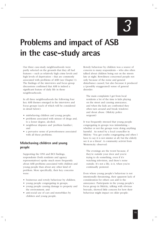# **Problems and impact of ASB in the case-study areas**

Our three case-study neighbourhoods were partly selected on the grounds that they all had features – such as relatively high crime levels and high levels of deprivation – that are commonly associated with problems of ASB (see Chapter 1). The findings of the interviews and focus group discussions confirmed that ASB is indeed a significant feature of daily life in these neighbourhoods.

In all three neighbourhoods the following four key ASB themes emerged in the interviews and focus groups (each of which will be considered in detail below):

- misbehaving children and young people;
- problems associated with misuse of drugs and, to a lesser degree, alcohol;
- neighbour disputes and 'problem families'; and
- a pervasive sense of powerlessness associated with all these problems.

# **Misbehaving children and young people**

Supporting the ONS and BCS findings, respondents (both residents and agency representatives) spoke much more frequently about ASB problems associated with children and young people than about any other kind of problem. More specifically, their key concerns were:

- boisterous and rowdy behaviour by children;
- young people congregating in groups;
- young people causing damage to property and the environment; and
- anti-social use of cars and motorbikes by children and young people.

Rowdy behaviour by children was a source of concern to many respondents – who also often talked about children being out on the streets late at night. Rowdiness concerned people not only because of the noise and general disturbance caused, but also because it produced a (possibly exaggerated) sense of general disorder:

The main complaints I get from local residents a lot of the time is kids playing on the street and causing annoyance, and when the kids are confronted they often turn around and break windows and shout abuse. (Midcity police sergeant)

It was frequently stressed that young people congregating in groups was intimidating – whether or not the groups were doing anything harmful. As noted by a local councillor in Midcity: 'You get youths congregating and often I have to say it is not sinister at all; but the elderly see it as a threat'. A community activist from Westerncity observed:

The evenings are the worst because, if they're outside your door and you're trying to do something, even if it's watching television, and there's noise outside. It's not a life, is it, when you're continually pestered.

Even where young people's behaviour is not intentionally threatening, their apparent lack of consideration for others can add to the annoyance. Participants in the young people's focus group in Midcity, talking with obvious bravado, showed little concern for how their behaviour might impact on older people: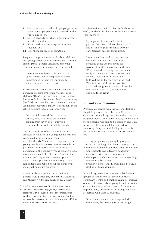- I **<sup>15</sup>** Do you understand why old people get upset about young people hanging around on the streets and so on?
- R1 No it depends on what comes out of your mouth at the time.
- I What could be done to try and sort that situation out?
- R2 Give them ear plugs or something.

Frequent complaints were made about children and young people causing destruction – through arson, graffiti, general vandalism, throwing stones at houses or passing cars. For example:

There were the decent kids that ran the sports centre, but [others] burnt it down. Something is in their system. (Midcity retired people's focus group)

In Westerncity, various respondents identified a particular problem with primary-school-aged children: 'They're the ones going round lighting fires outside flats. You know, they're regenerating [the flats], and then they go and melt all the PVC' (community activist). Similarly, a participant in the retired people's focus group observed:

Sunday night around the back of the school, there was about six children, ranging from seven to 11, throwing stones at the school with all their might.

The anti-social use of cars, motorbikes and scooters by children and young people was also considered a problem in all three neighbourhoods. There were complaints about young people riding motorbikes or mopeds on pavements or in public parks: for example, a participant in the Southcity young women's focus group commented: 'It's like one o'clock in the morning and they're just zooming up and down.… It's a problem for everybody'. Some respondents also talked about problems with motorised miniature scooters.

Concerns about joyriding and car crime in general were particularly evident in Westerncity and Midcity.**<sup>16</sup>** Although much of this activity

- **<sup>15</sup>** 'I' refers to the interviewer; 'R' refers to respondents.
- **<sup>16</sup>** Car crime, and particularly joyriding, have long been associated with the Westerncity neighbourhood. These problems have reduced over the past five years, but there are fears they may currently be on the rise again. In Midcity, these are very much current concerns.

involves serious criminal offences (such as car theft), residents also have to suffer the anti-social consequences:

My nephew, if there are loads of joyriders he's like, "I don't like it, I don't like it", and he puts his hands over his ears. (Midcity parents' focus group)

I went there last week and my mother was very ill in bed, and there was someone going up and down the pavement on their motorbike, and I said: "Do you mind not doing that, my mother really isn't very well". And I looked and his eyes were out of his head, he followed me all the way down the road: "What's it to you? I hate people like you!", following me all the way down the road shouting at me. ([Midcity retired people's focus group)

### **Drug and alcohol misuse**

Problems associated with the use and dealing of illegal drugs were often cited as ASB, most commonly in Southcity, but also in the other two neighbourhoods. In all three places, cannabis use by adolescents was said to be common and Class A drug use by young adults was said to be increasing. Drug use and dealing was associated with ASB for various reasons. Concerns centred on:

- young people congregating in groups cannabis smoking often being a group activity;
- the fears provoked by visible drug use and the unpredictable and offensive behaviour associated with drug consumption;
- the impact on children who come across drug misuse in public places;
- broader violence and disorder linked to drug dealing or binge drinking.

In Southcity, several respondents talked about groups of youths who sat around outside a community centre and smoked cannabis, making others feel nervous about going in and out of the centre. Some respondents also spoke about the unpredictable, offensive or disturbing behaviour associated with Class A drug use:

Now, if they want to take drugs and kill themselves, feel free. My objection is: get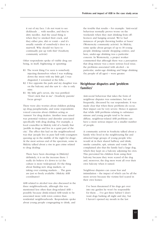it out of my face. I do not want to see dickheads … with needles, and they're dirty needles. And the usual thing is when they've smoked their crack, and they either piss, shit or vomit – and it's usually outside of somebody's door in a stairwell. Why should we have to continually put up with this? (Southcity community activist)

Other respondents spoke of visible drug use being, in itself, frightening or upsetting:

- R1 The worst thing I've seen is somebody injecting themselves when I was walking down the street with my little girl. I was disgusted, I screamed at the fella….
- R2 I live opposite the park and my daughter was on the balcony and she saw it – she is only nine.
- R1 My little girl's seven, she was petrified: "Don't stick that in me". (Southcity parents' focus group)

There were also worries about children picking up drug paraphernalia; and some respondents voiced concerns about children acting as 'runners' for drug dealers. Another issue raised was potential violence and disorder associated specifically with drug dealing. For example, a local councillor in Midcity told of a family that 'peddle in drugs and live in a quiet part of the city'. The effect this had on the neighbourhood was that 'people live in pure hell with youngsters queuing up in the middle of the night for drugs'. At the most serious end of the spectrum, some in Midcity talked about a rise in gun crime related to drug dealing:

There have been shootings in [Midcity] definitely; it is on the increase there. I really do believe it's down to (a) the culture is more widespread; (b) the thing about finding new drug markets, or taking over existing markets.… The guns are just so freely available. (Midcity ASB coordinator)

ASB related to alcohol was also discussed in the three neighbourhoods, although this was mentioned less often than drug-related ASB – possibly because drink-related ASB tends to be associated more with town centres than residential neighbourhoods. Respondents spoke about young people congregating to drink, and

the trouble that results – for example: 'Anti-social behaviour normally proves worse on the weekends when they start drinking from offlicences and hanging around. We've had instances of people throwing bottles at buses' (Westerncity community activist). In Midcity, some spoke about groups of up to 30 young people drinking outside shopping centres; and here, under-age drinking was a particular concern. In Westerncity, a project worker commented that although there was a perception that drug misuse was a more serious local issue, the problems associated with alcohol – in particular, under-age drinking and binge drinking (by people of all ages) – were greater.

# **Neighbour disputes and 'problem families'**

Anti-social behaviour that takes the form of neighbour disputes was sometimes, but not frequently, discussed by our respondents. It was made clear that when these problems do occur, their impact can be very severe. Hence it appears that while ASB problems relating to substance misuse and young people tend to be more diffuse, neighbour-related ASB problems can have a more serious impact on a smaller number of people.

A community activist in Southcity talked about a family who lived in the neighbouring flat and attracted large groups of young people who would sit in their shared hallway and drink, smoke cannabis, spit, urinate and vomit. He complained also that the family had a large dog, which they kept on a balcony adjoining his own. This prevented his children from using their balcony because they were scared of the dog and, moreover, the dog mess went all over their own balcony when it rained.

Neighbour disputes can cause fear and intimidation – the impact of which can be all the more severe because the victims feel scared in their own homes:

I've been threatened if his dogs get over into my garden he won't be responsible for them … I've got three babies! I don't want dogs barking all night and day, but I haven't opened my mouth in the last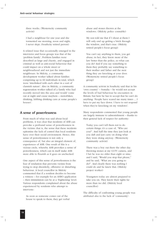three weeks. (Westerncity community activist)

I had a neighbour for one year and she tormented me morning, noon and night; I never slept. (Southcity retired person)

A related issue that occasionally emerged in the interviews and focus groups was that of the 'problem family'. Problem families were described as large and chaotic, and engaged in criminal as well as anti-social behaviour that could impact on a whole street or neighbourhood and not just the immediate neighbours. In Midcity, a community development worker talked about families comprising up to 60 individuals in total, which were 'interlinked with each other in a sort of clannish nature'. Also in Midcity, a community regeneration worker talked of a family who had recently moved into the area and would 'come out at night and cause mayhem – motorbikes, drinking, lobbing drinking cans at some people's houses'.

# **A sense of powerlessness**

From much of what was said about local problems, it was clear that incidents of ASB can provoke a profound sense of powerlessness in the victims: that is, the sense that these incidents epitomise the lack of control that local residents have over their social environment. Hence, this sense of powerlessness is not only a consequence of, but also an integral element of, experiences of ASB. One result of this is a vicious circle, whereby ASB provokes a sense of powerlessness, which can in itself make ASB more able to flourish as it goes on unchecked.

One aspect of this sense of powerlessness is the fear of retaliation that prevents victims from trying to stop disorderly, offensive or disturbing behaviour. A local councillor in Midcity commented that if a resident decides to become a witness – for example for an ASBO application – then intimidation can be at a 'frightening' level. Various respondents complained about the abuse experienced by residents who attempt to intervene:

As soon as someone comes out of the house to speak to them, they get verbal abuse and stones thrown at the windows. (Midcity police constable)

My son told me that if I shout at them I will only end up getting a brick through the window, and that's true. (Midcity retired people's focus group)

You can't say anything to them, you get abuse; in fact, they know more of the law better than the police, so what can you do? And if you say something to them they probably say something to their mother and father and the next thing they are knocking at your door. (Westerncity retired people's focus group)

A community activist in Southcity said that in his 'own country' – Somalia – he would not accept the levels of bad behaviour he encounters in Britain; but here he has to accept that he can't do anything: 'People have scared me many times ... I have to put my face down. I have to not respond when they're knocking on my windows'.

Many respondents commented that young people are largely immune to admonishment – thanks to their general lack of respect for authority:

Today you can't tell them not to do certain things: it's a case of, "Who are you?". And half the time they just look at you daft and just carry on doing what they were doing anyway. (Westerncity community activist)

There was a boy out there the other day throwing stones at my CCTV camera, and I bet he was no older than eight or nine; and I said, "Would you stop that please," and he said, "What are you going to do?". And clearly there was nothing I could do and he knew that. (Midcity project worker)

Youngsters today are almost prepared to take you on. They know their rights far more than we did. (Midcity local councillor)

The difficulty of confronting young people was attributed also to the lack of 'community':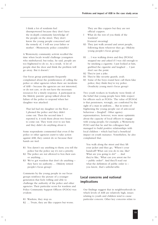I think a lot of residents feel disempowered because they don't have the in-depth community knowledge of the people on the street. They don't know the young people concerned and the remedy of, 'I will see your father or mother'. (Westerncity police constable)

A Westerncity community activist recalled the time when locals would challenge youngsters who misbehaved; but today, he said, people are too frightened to do so. As a result, 'A lot of people shut the door and think the problem will go away. But it doesn't.'

Our focus group participants frequently complained about the pointlessness of calling the police or other agencies when there are incidents of ASB – because the agencies are not interested, or do not care, or do not have the necessary resources for a timely response. A participant in the Midcity parents' group talked about the failure of the police to respond when her daughter was attacked:

That lad had my daughter on the floor … I phoned the police and they didn't come out. Then the second time I reported it, it took them about two hours to come out. They went over to see him and they didn't do anything about it.

Some respondents commented that even if the police or other agencies *want* to take action against ASB, they cannot do so because their hands are tied:

- R1 You daren't say anything to them; you tell the police but the police say it's not a priority.
- R2 The police are not allowed to box their ears or anything….
- R3 We've got wardens that don't do anything they have no authority…. (Midcity retired people's focus group)

Comments by the young people in our focus groups reinforce the picture of a younger generation that feels willing and able to challenge the authority of the police and other agencies. Their particular scorn for wardens and Police Community Support Officers (PCSOs) was evident:

- R1 Wardens, they stop us.
- R2 … Twats, they are like coppers but worse.

They are like coppers but they are not official coppers.

- I What do the rest of you think of the wardens? [General swearing]
- R3 They just walk around and arrest people, following them wherever they go. (Midcity young people's focus group)
- R1 … I was walking down and they [PCSOs] stopped me and asked if I was old enough to be smoking a cigarette. I just looked at him, grabbed the cigarette and laughed … I just don't see the point.
- R2 They're just a joke.
- R1 They're like security guards, yeah.
- R3 Some of the boys round here call them fake police; they think they're toy police. (Southcity young men's focus group)

Two youth workers in Southcity were firmly of the belief that young people have little respect for officers such as PCSOs: 'The value of [PCSOs] is that pensioners, wrongly, are comforted by the sight of a man in uniform.… But in terms of frightening the young people out of anti-social behaviour – [laughs]!'. Other agency representatives, however, were more optimistic about the capacity of local officers to engage with young people; for example, a Westerncity PCSO said that he and his colleagues had managed to build positive relationships with local children – which had had a beneficial impact on youth nuisance. Nonetheless, he also complained that:

You walk along the street and they lift your jacket and they go, "Where's your handcuff? What can you do to me, like? What are you going to do?" … And they're like, "What can you arrest me for – public order?". And they'll read out what the definition of public order is – you know, that's unbelievable.

# **Local concerns and national implications**

Our findings suggest that in neighbourhoods in which levels of ASB are relatively high, issues relating to youth and children tend to cause particular concern. Other key concerns relate to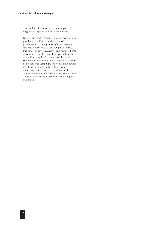drug and alcohol misuse, and the impact of neighbour disputes and 'problem families'.

One of the most insidious consequences of local problems of ASB can be the sense of powerlessness among those who experience it. National policy on ASB has sought to address this sense of powerlessness – and replace it with a conviction, on the part of the general public, that ASB can and will be successfully tackled. However, to understand the potential for success of the national campaign, we need some insight into how the public and professionals understand ASB: that is, their views on the causes of ASB and what should be done about it. These issues are dealt with in the two chapters that follow.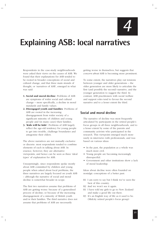*4*

# **Explaining ASB: local narratives**

Respondents in the case-study neighbourhoods were asked their views on the causes of ASB. We found that their explanations for ASB tended to be rooted in broader conceptions of social and cultural change, and that three main strands of thought, or 'narratives of ASB', emerged in what was said:

- **1. Social and moral decline**: Problems of ASB are symptoms of wider social and cultural change – more specifically, a decline in moral standards and family values.
- **2. Disengaged youth and families**: Problems of ASB are rooted in the increasing disengagement from wider society of a significant minority of children and young people and (in many cases) their families.
- **3. 'Kids will be kids'**: Problems of ASB largely reflect the age-old tendency for young people to get into trouble, challenge boundaries and antagonise their elders.

The above narratives are not mutually exclusive or discrete: most respondents tended to combine elements of each in talking about ASB. In essence, however, they are alternative viewpoints, and hence can be seen as three 'ideal types' of explanation for ASB.

Unsurprisingly, since respondents spoke mostly about ASB committed by children and young people when asked about local problems, the three narratives are largely focused on youth ASB – although the narrative of social and moral decline is somewhat broader in scope.

The first two narratives assume that problems of ASB are getting worse: because of a generalised process of decline; or because of the increasing disengagement of a minority of British youth and/or their families. The third narrative does not assume that problems of ASB are necessarily

getting worse in themselves; but suggests that *concern about* ASB is becoming more prominent.

To some extent, the narratives play out tensions between younger and older generations – the older generation are more likely to articulate the first (and possibly the second) narrative, and the younger generation to suggest the third. In contrast, ASB practitioners with social welfare and support roles tend to favour the second narrative and to a lesser extent the third.

### **Social and moral decline**

The narrative of decline was most frequently articulated by participants in the retired people's focus groups in all three neighbourhoods, and to a lesser extent by some of the parents and community activists who participated in the research. This viewpoint emerged much more rarely in interviews with professionals, and was based on various ideas:

- In the past, the population as a whole was much more civil.
- Young people are becoming increasingly disrespectful.
- Government and other institutions show a lack of moral leadership.

Ideas about decline were often founded on nostalgic conceptions of a better past:

- R1 I am sorry to say but I think we've seen the best of this country.
- R2 And we won't see it again.
- R1 I have told my girls to go to New Zealand and make a good life out there.
- R3 It's an English way of life as it used to be. (Midcity retired people's focus group)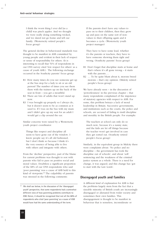I think the worst thing I ever did [as a child] was pinch apples. And we thought we were really doing something wicked, and we dared not go home and tell our family. (Westerncity retired people's focus group)

The general decline in behavioural standards was thought to be manifest in ASB committed by young people and evident in their lack of respect or sense of responsibility for others. (It is interesting to recall that 51% of respondents in our ONS survey cited 'low respect for others' as a cause of youth ASB.) The following exchange occurred in the Southcity parents' focus group:

- R1 How many times do you see someone get up at the bus stop for a lady to sit or an old person? The number of times you see them there with the trainers up on the back of the seat in front – you get a mouthful.
- R2 There are lots of adults that won't stand up now.
- R3 I was brought up properly so I always do, but it doesn't seem to be as common as it used to. If I was on the bus with my mum and I didn't give up my seat for an adult I would get a clip around the ear.

Similar concerns were raised by a Westerncity youth project coordinator:

Things like respect and discipline all seem to have gone out of the window. I know people say it's all old fashioned, but I don't think so because I think it's the very essence of being able to live with others and integrate with others.

From the 'decline' perspective, part of the blame for current problems was thought to rest with parents who fail to pass on positive social and moral values. Doubtless a significant proportion of the 68% of our ONS respondents who said 'poor parenting' was a cause of ASB held to this kind of viewpoint.**<sup>17</sup>** The culpability of parents was stressed in the following comments:

If the parents don't have any values to pass on to their children, then they grow up and pass on the same sort of nonvalues to their offspring again and it becomes a cycle. (Westerncity youth project manager)

They have to have some lead, whether it's the parents or teachers, they have to have someone showing them right and wrong. (Southcity parents' focus group)

- R1 Don't forget that discipline starts at home and that's where it's all gone wrong – it starts with the parents….
- R2 … To be quite blunt about it, morons breed morons – that's my opinion. (Midcity retired people's focus group)

We have already seen – in the discussion of 'powerlessness' in the previous chapter – that many respondents complained of the impotence of statutory agencies with respect to ASB. For some, this problem betrays a lack of moral leadership in Britain. Successive governments, and institutions such as the courts, the police and schools, are accused of failing to instil discipline and morality in the British people. For example:

The teachers at school can only do so much now, because it's a nanny state, and the kids are let off things because the teacher won't get involved in case they get sorted out. (Southcity retired people's focus group)

Similarly, in the equivalent group in Midcity there were complaints about: 'No police and no discipline – the government has took the discipline out of schools'; and about 'soft' sentencing and the weakness of the criminal justice system as a whole. There is a need for change, it was argued; and this change has 'got to start with the Law Lords'.

# **Disengaged youth and families**

A different kind of explanation for ASB is that the problems largely stem from the fact that a sizeable minority of British youth are increasingly disengaged or alienated from wider society and sometimes their own families. This disengagement is thought to be manifest in behaviour that is senseless, inconsiderate or

**<sup>17</sup>**We shall see below, in the discussion of the 'disengaged youth' perspective, that some respondents had a somewhat different view of how parenting problems contribute to ASB. Hence, it should be recognised that not all the 68% of respondents who cited 'poor parenting' as a cause of ASB would have had the same understanding of the term.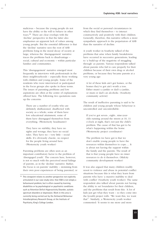malicious – because the young people do not have the ability or the will to behave in other ways.**<sup>18</sup>** There are clear overlaps with the 'decline' perspective in that the latter also emphasises an apparent lack of values among young people. But the essential difference is that the 'decline' narrative sees the root of ASB problems lying in the moral decay of society at large; whereas the 'disengagement' narrative traces the problems back to disadvantage – social, cultural and economic – within particular families and communities.

This 'disengagement' narrative emerged most frequently in interviews with professionals in the three neighbourhoods – especially those working with children and young people. Some of the residents who were interviewed or participated in the focus groups also spoke in these terms. The issues of parenting problems and low aspirations are often at the centre of explanations offered here. The following two quotations sum up the concerns:

There are a number of youths who are definitely disillusioned, disaffected with society as a whole; some of them have low educational attainment; some of them have disengaged themselves from everything. (Westerncity headmaster)

They have no stability; they have no rights and wrongs; they have no social rules. They have no – very little – social skills. It's obviously chaotic, no respect for the people living around here. (Westerncity youth worker)

Parenting problems are often seen as an important contributory factor to the problem of 'disengaged youth'. The concern here, however, is not so much with the perceived moral failings of parents, as in the 'decline' narrative. Rather, the focus is on parents' inability – stemming from their own poor experiences of being parented, or from the social or personal circumstances in which they find themselves – to interact constructively and positively with their children. Generally, therefore, this narrative reflects a more sympathetic approach to the perpetrators of ASB than the narrative of decline.

A youth worker in Southcity talked of the problems that arise when family breakdowns have occurred in successive generations, leading to 'a build-up of the negativity of struggling through' as parents. Various respondents talked about parents who fail to care properly for their children because of their own drug or alcohol problems, or because they became parents at a very young age:

A lot of these kids ain't got homes, or the homes they've got ain't worth a toss. Either mum's a junkie or dad's a junkie, or mum or dad's an alcoholic. (Southcity community activist)

The result of ineffective parenting is said to be children and young people whose behaviour is uncontrolled and uncontrollable:

If you've got seven-, eight-, nine-yearolds running around the streets at 10, 11 o'clock at night, that's not just the child's problem. The cause of that has got to be what's happening within the home. (Westerncity project coordinator)

The problem we have got is that we don't enable young people to have the resources within themselves to cope…. It is about not having the support within the family and the parents. The result of that is that young people have no inner resources to do it themselves. (Midcity community development worker)

It was also argued that many children readily resort to violence and abuse in potential conflict situations because this is what they learn from parents who have 'a massive inability to deal with conflict' (Southcity youth worker). The same respondent also talked about parents not having the ability to set boundaries for their children, and the problems that result from this: 'A lot of kids just get what they want – so they come into the [youth] project with: "We want this; we want that"'. Similarly, a Westerncity youth worker commented: 'It seems to me more and more

**<sup>18</sup>** This viewpoint relates to another perspective not explicitly articulated in our case-study sites: that ASB is not simply a behavioural problem, but is often caused by learning disabilities or by psychological or psychiatric conditions such as Attention Deficit Hyperactivity Disorder, autistic spectrum disorders or depression. Work in this area is currently being carried out by the Antisocial Behaviour Interdisciplinary Research Group, at the Institute of Psychiatry, King's College London.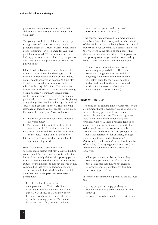parents are buying more and more for their children, and not enough time is being spent with them'.

The young people in the Midcity focus group strongly rejected the notion that parenting problems might be a cause of ASB. When asked if poor parenting can be blamed for ASB, one participant retorted: 'No: how can it be your fucking parents – what the fuck do your parents do? They try and keep you out of trouble, not put you in it.'

Educational problems were also discussed by some who articulated the 'disengaged youth' narrative. Respondents pointed out that many young people involved in serious ASB are also truanting or excluded from school, or have left school with no qualifications. This and other factors can produce very low aspirations among young people. A community development worker in Midcity noted: 'A lot of young men, particularly the 12- to 13-year-olds, are beginning to say things like: "Well, I will just go out nicking 'cause I can get some money"'. The following exchange in Midcity young people's focus group illustrated the participants' low aspirations:

- I Where do you all see yourselves in about five years' time?
- R1 Down town sitting outside a shop, hat in front of you, bottle of cider at the side….
- R2 I know where we'll be in a few years' time on the dole. I don't think of the future.
- R3 I don't want to be working all my life; I've got better things to do.

Some respondents spoke also about socioeconomic factors that play a part in limiting young people's hopes and expectations for the future. It was rarely claimed that poverty per se was to blame. Rather, the concern was with the culture of unemployment that can emerge within communities that have undergone economic decline, or within individual families in which there has been unemployment over several generations:

It's third or fourth generation unemployment.… Their dads didn't work, their grandfathers didn't work, and that's a way of life. That's all they know. If you're brought up in a family that gets up in the morning, puts the TV on and has a beer and a fag, that's normal. It's

not normal to get up and go to work. (Westerncity ASB coordinator)

This concern was expressed in a more extreme form by a Southcity housing officer, who talked of the neighbourhood as having been, 'an area of poverty for over 200 years; it is almost like it is in the water, it's in the blood of the people that they are deprived or something'. Unemployment and poverty over the generations were said by some to produce apathy and individualism:

There's no sense of either personal or community responsibility…. There's no sense that the generation before did anything at all within the world to make it a better place for the young people of today, and therefore they have no need to do it for the next lot. (Southcity community association director)

### **'Kids will be kids'**

The third set of explanations for ASB rests on the assumption that the misbehaviour is, in itself, not necessarily very problematic and is not necessarily getting worse. The main argument here is that while there undoubtedly *are* problems with ASB, these problems tend to be exaggerated and overestimated. In particular, older people are said to overreact to relatively 'normal' mischievousness among younger people – behaviour referred to, for example, as 'high jinks … just teasing and antagonising' (Westerncity youth worker) or 'a bit of fun, a bit of malarkey' (Midcity regeneration worker). A Westerncity community safety coordinator observed:

Older people tend to be intolerant; they see young people as sort of an intrinsic threat. The fact that they're not engaged in positive and regimented activities they see as a negative factor.

In essence, the narrative is premised on the ideas that:

- young people are simply pushing the boundaries of acceptable behaviour as they grow up;
- in some cases other people overreact to this;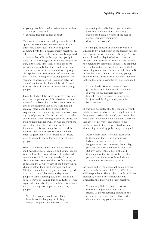- young people's boredom often lies at the heart of the problem; and
- curtailed freedom causes conflict.

This narrative was articulated by a number of the agency representatives we interviewed in the three case-study sites – but was frequently combined with the 'disengagement' narrative. In other words, many of the professionals appeared to believe that ASB can be explained partly in terms of the disengagement of young people; but that, at the same time, local people are more worried about ASB than they need to be. Some of the residents in interviews and focus groups also spoke about ASB in terms of 'kids will be kids' – while voicing their 'disengagement' and 'decline' concerns as well. Unsurprisingly, the 'purest' version of the 'kids will be kids' narrative was articulated in the focus groups with young people.

From the 'kids will be kids' perspective, fear and suspicion of young people's behaviour is often more of a problem than the behaviour itself. In two of the neighbourhoods we were told an identical story about how a respondent's acquaintance, when walking down the road, saw a gang of young people and crossed to the other side to avoid them. Having passed the group, she then noticed that her own son was among them, and realised that she had been needlessly intimidated. It is interesting that we heard the identical anecdote in two locations – which might suggest that it is an 'urban myth', freely used to illustrate the unfounded fears of older people.

Some respondents argued that overreaction to mild misbehaviour of children and young people is a result of the current climate of heightened anxiety about ASB. In other words, if concern about ASB has risen over the past few years, this is because the *social context* of the behaviour has changed rather than the behaviour itself. A Midcity community development worker argued that the 'paranoia' that exists today 'allows people to label anything they don't like as antisocial behaviour'. Taking this point further, it was argued that the labelling of youth activity as antisocial has a negative impact on the young people:

Very often young people are vilified literally just for hanging out in large groups: people expect the worst. I am not saying that ASB doesn't go on in the area, but I certainly think that young people can become victims of the fear of crime. (Southcity community development worker)

The changing context of behaviour was also alluded to by a participant in the Midcity parents' focus group, who commented: 'Now you're not even allowed to play football on the street *because that's anti-social behaviour* and irritates the neighbours' (emphasis added). The argument here is that today, the act of playing football is something other than it seems: it is, in fact, ASB. When the participants in the Midcity young people's focus group were asked why they did not use the local playing fields, one responded:

Playing fields! We're not even allowed to go on there and play football. Guarantee it, if you go on that field and play football you get arrested or something. It's just used for dogs shitting on – I'm being serious.

It was also suggested that the context of youth misbehaviour has changed not only in terms of heightened anxiety about ASB, but also in the sense that adults (as we have already seen) feel less able to intervene; and therefore the misbehaviour, in itself, is perceived as more threatening. A Midcity police sergeant argued:

People don't know who lives next door to them, and they don't know whose kids are out on the street.… Kids hanging around on the street, that's a big problem, but kids have always done that. But why now is that a big problem? I think some of that is due to the fact that people don't know who those kids are. They've got no one to complain to.

As noted earlier, 'boredom/not enough to do' was said to be a cause of ASB by 58% of our ONS respondents. This explanation for ASB was frequently offered by respondents who articulated the 'kids will be kids' narrative:

There's very little for them to do, so there's nothing to take them off the streets. So they're hanging around in the evenings, you know, bored. That's when they start making youth annoyance,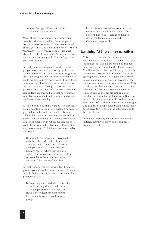criminal damage. (Westerncity Police Community Support Officer)

Many of our young focus group participants complained about boredom. For example, in Southcity: 'Like we're not on the streets out of choice you know, it's cold on the streets'. And in Westerncity: 'They [young people] just muck about in the field because that's the only space – they are always being told, "You can't go there, you can't go there"'.

Several respondents pointed out that young people have always sought to engage in risky or daring behaviour, and that part of growing up is about pushing the limits of what is acceptable. A youth worker in Westerncity noted: 'I don't think [young people] have got a clue what is anti-social and what is not.… Having a chase with the police is fun, that's the way they see it.' Several respondents emphasised also that peer pressure can play an important part in youth behaviour at the limits of acceptability.

A related point occasionally made was that today young people's freedoms are curtailed because of parental anxieties and, as a result, it is more difficult for them to express themselves and be rowdy without coming into conflict with adults. (This is another way in which the context of youth behaviour, rather than the behaviour itself, may have changed.) A Midcity police constable observed:

On a number of occasions I have spoken with these lads who said, "Where else can you play?". Their parents don't let them play in areas such as [named] Country Park or where they're out of sight. If they're playing on the street they get complaints from other residents because of the nature of the place.

Several respondents emphasised that boredom propels young people towards misuse of drugs and alcohol – which can then contribute to local problems of ASB:

Because they are bored, there is nothing to do. It's mainly drugs, crack and that. Other people burn cars and that, but crack is the biggest problem around here. (Midcity young people's focus group)

[Cannabis] is so accessible, so it becomes easier to use it rather than trying to find active things to do. There is nothing to do, so the temptation is around. (Southcity drugs worker)

# **Explaining ASB: the three narratives**

This chapter has described three sets of explanation for ASB, which we refer to as three 'narratives' because all are rooted in broader understandings of social and cultural change. The first two narratives, which are quite closely interrelated, assume that problems of ASB are getting worse, because of a generalised process of social and moral decline, or because of the increasing disengagement of a minority of British youth and/or their families. The third narrative, which asserts that most ASB is a matter of children and young people getting up to mischief, assumes that problems of ASB are not necessarily getting worse in themselves, but that the *context* of youthful misbehaviour is changing, and as a result people have become more likely to perceive this behaviour as anti-social and to be fearful of it.

In the next chapter, we consider how these different narratives imply different kinds of solutions to ASB.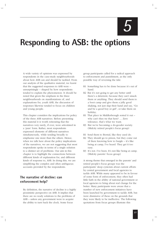*5*

# **Responding to ASB: the options**

A wide variety of opinions was expressed by respondents in the case-study neighbourhoods about how ASB can and should be tackled. From our analysis of the qualitative material, we learnt that the suggested responses to ASB were – unsurprisingly – shaped by how respondents tended to explain the phenomenon. It should be noted that given the emphasis in the three neighbourhoods on manifestations of, and explanations for, youth ASB, the discussion of responses likewise tended to focus on children and young people.

This chapter considers the implications for policy of the three ASB narratives. Before presenting this material it is worth reiterating that the narratives very rarely, if ever, were articulated in a 'pure' form. Rather, most respondents expressed elements of different narratives simultaneously, while tending broadly to emphasise one more than the others. Hence, when we talk here about the policy implications of the narratives, we are not suggesting that most respondents spoke in terms of a single solution to a distinct set of problems. Our aim in this chapter is to highlight the connections between different kinds of explanation for, and different kinds of response to, ASB. In doing this, we are simplifying the complex and often ambiguous accounts provided by the respondents.

# **The narrative of decline: can enforcement help?**

By definition, the narrative of decline is a highly pessimistic perspective on ASB. It implies that there are no ready solutions to the problems of ASB – unless any government were to acquire the ability to turn back the clock. Some focus

group participants called for a radical approach to enforcement and punishment, as the only possible way of reversing the tide:

- R1 Something has to be done because it's out of hand.
- R2 But it's not going to get any better until there's a deterrent, because they can't smack them or anything. They should send them to a boot camp and give them a jolly good shaking, not just slap their hand and say, "Go and be a good boy or girl", or take them on holiday.
- R1 That place in Middlesbrough sorted it out why can't they try that here? … Zero tolerance, that's what we want.
- R3 But we're becoming a do-gooder society. (Midcity retired people's focus group)
- R1 Send them to Borstal, like they used do.
- R2 They should go to prison, but they come out of there knowing how to burgle – it's like being at camp, I've heard. They get it too easy.
- R3 It's not. I've been. It's not like being at camp. (Midcity parents' focus group)

A strong theme that emerged in the parents' and retired people's focus groups was the participants' deep cynicism about current efforts by central government and local agencies to tackle ASB. While many appeared to be in favour of some form of enforcement, they often had little faith in the ability of national government or local agencies to bring about real change for the better. Many participants were aware that a number of new enforcement initiatives have been launched by government to tackle ASB, but were dismissive of these on the grounds that they were likely to be ineffective. The following quotations from focus groups illustrate this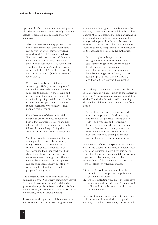apparent disaffection with current policy – and also the respondents' awareness of government efforts to promote and publicise their new initiatives.

What are these community police? To the best of my knowledge, they don't have any powers of arrest, they are walking around. And David Blunkett could say, "Put more police on the street", but you might as well put the boy scouts out there. Boy scouts would say, "Could you stop doing that please", and the second word would be "off" and there is nothing they can do about it. (Southcity parents' focus group)

Mr Blunkett has been on television advertising [ASBOs], but on the ground, this is what we're talking about, they're supposed to happen on the ground and it's not, not at the moment. Listening to them it's happening straight away but I'm sorry sir, it's not, you can't change the culture overnight. (Westerncity retired people's focus group)

If you have one of those anti-social behaviour orders on you, nationwide, how is that enforceable? … It's another thing to stick in the newspapers to make it look like something is being done about it. (Southcity parents' focus group)

You hear from the ministers that they are dealing with anti-social behaviour by using curfews, but where are the curfews? That's never been imposed – you never see them imposed; you hear about these things on television but you never see them on the ground. There is nothing being done – councils, police and the supposed security people don't come together. (Southcity retired people's focus group)

The despairing view of current policy was summed up by a Westerncity community activist: 'Up there in government they're giving the powers about public nuisance and all this, but there's nobody in authority using it. Nobody can do nothing; nobody knows nothing.'

In contrast to the general cynicism about new initiatives emanating from central government, there were a few signs of optimism about the capacity of communities to mobilise themselves against ASB. In Westerncity, some participants in the retired people's focus group argued that things had improved in the area because the tenants' association and others had made the decision to move things forward for themselves – in the absence of help from the authorities:

In a lot of places things have been brought about because residents have got together to get these orders or get a family moved – it's not coming from authority, it's residents themselves who have banded together and said, "I'm not going to put up with this any longer", and they're the ones who have pushed it.

In Southcity, a community activist described a local movement, which – 'much to the chagrin of the police' – successfully drove out a local drug dealer. The dealer, he said, had been selling drugs when children were coming home from school:

So the local residents got very cross with this 'cos the police would do nothing; and they all got placards – "drug dealers out" – and whistles, and I eventually joined this with my wife, and every time we saw him we waved the placards and blew the whistles and he ran off. I'm now told that he is dealing in another part of the area, not anywhere near us.

A somewhat different perspective on community action was evident in the Midcity parents' focus group. An argument voiced here was not so much that the community must take action when agencies fail; but, rather, that it is the responsibility of the community to sort out its own problems (by whatever means):

- R1 A lot of people around here have been brought up to not phone the police and just deal with it yourself.
- R2 It's like protecting your kids. If somebody's going to whack my kid then I'm sorry but I will whack *them*, because I am there to protect my kids.

In contrast, other focus group participants had little or no faith in any kind of self-policing capacity of the local community. In the retired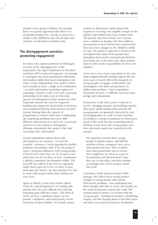people's focus group in Midcity, for example, there was general agreement that 'there's no community feeling now, not like it used to be' – thanks to the selfishness and 'I'm all right, Jack' attitudes of individuals in Britain today.

# **The disengagement narrative: promoting engagement**

For those who explain problems of ASB largely in terms of the 'disengagement' of the perpetrators, the logical implication is that these problems will be reduced if agencies can manage to reintegrate the most marginalised individuals and families within their local communities and wider society. Respondents who spoke in these terms tended to focus – singly or in combination – on early intervention (including support for parenting), intensive youth work and community partnership as the main ways in which this process of reintegration can be carried out. They frequently stressed the need for long-term funding and support for these kinds of initiatives, and complained that the short-termism of much current funding limits the capacity of programmes to achieve their aims of addressing the underlying problems that cause ASB. Effective enforcement was said to be a necessary element of work aiming at reintegration, although respondents also spoke of the risks associated with enforcement.

Several respondents talked about early intervention as an essential – or even *the* essential – element of work targeting the familial problems that produce ASB. 'If we are going to make a long-term difference with young people, it doesn't start when they are 12; it's got to start when they are two or three or four', commented a Midcity community development worker. The local MP also talked of the need to 'rigorously target' those aged up to five, in order 'to give them their life chance'. He also said that it is vital to work with parents before their children are even born.

Again in Midcity, a Sure Start worker talked about the critical importance of working with parents who 'live very difficult lives and find parenting quite difficult at times'. This kind of work can have a significant impact on the parents' confidence, and consequently on the behaviour of their children. Two family project workers in Westerncity spoke about their experience of seeing very tangible changes in the families and children they have worked with. The parents, they have found, have become more confident in dealing with their children; and teachers at local schools have reported that they have seen changes in the children's ability to cope. The project's approach is based on the assumption that many of the parents have themselves been poorly parented and therefore need help; but, at the same time, these parents must be able to take responsibility for their own children.

As we have seen, many respondents in the casestudy neighbourhoods strongly argued that the root causes of much ASB is the incapacity of young people to engage constructively and meaningfully with those around them. To address this problem – these respondents frequently stressed – is difficult, and takes time, energy and commitment.

Constructive work with youth is believed to involve changing attitudes and building capacity. This partly entails finding what activities the young people are genuinely interested in, and encouraging them to work on these activities. According to a project coordinator in Westerncity, much of this work has the overarching aim of building connections with young people who have previously made few connections with anyone:

The approach towards these young people is mutual respect. And half the problem is these youngsters have never been treated that way. They wouldn't have been treated that way in school, their neighbours see them as a pain in the backside and tell them that's what they are, to that effect, and they retaliate accordingly then. So it's trying to break that cycle.

A Southcity Youth Inclusion Project (YIP) manager also talked about seeing positive changes in young people with serious behavioural problems – but emphasised that these changes take time to occur, and usually are the result of intensive, one-to-one work. The workers need to spend a lot of time with the young people – building boundaries, establishing respect, and also helping them to find their niche and their own particular interests. Residential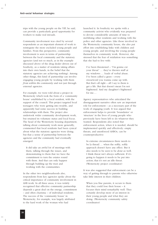trips with the young people on the YIP, he said, can provide a particularly good opportunity for workers to make real inroads.

Community involvement was cited by several respondents as an important element of work to reintegrate the more excluded young people and families. From this perspective, community involvement is seen in terms of partnership between the local community and the statutory agencies (and not so much, as in the example discussed above of the drug dealer driven out of Southcity, as a matter of residents taking affairs into their own hands, in the belief that the statutory agencies are achieving nothing). Among other things, this kind of partnership can involve engaging young people by working with them *from within the community* and not just through external agencies.

For example, we were told about a project in Westerncity which took the form of a 'community house' established by a local resident, with the support of the council. This project targeted local teenagers who were getting into trouble, and apparently had some success in building relationships with them. The project also undertook wider community development work, but retained its voluntary status and local focus. The head of the Westerncity housing department, talking about community work more generally, commented that local residents had been cynical about what the statutory agencies were doing; but that a sense of partnership between the agencies and the community had eventually emerged:

It did take an awful lot of meetings with them, talking through the issues, and demonstrating to them that we have the commitment to turn the estates round with them. And that can only happen through building up the trust and working with the communities.

In the other two neighbourhoods also, respondents from key agencies spoke about the critical importance of community involvement in ASB work. In all three areas, it was widely recognised that effective community partnership depends a great deal on the energy, commitment – and often charisma – of individual residents. The success of the 'community house' in Westerncity, for example, was largely attributed to the hard work of the woman who had

launched it. In Southcity we spoke with a community activist who evidently was prepared to devote considerable amounts of time to mobilising other residents and working with the police and other agencies. Like those involved in the Westerncity community house, she also put effort into establishing links with children and young people, and involving the young people themselves in community work. However, she stressed that the fear of retaliation was something that she had to live with:

I've been threatened – "I'm gonna cut your throat" … they've thrown stuff at my windows … loads of verbal abuse. I've been called a grass – every swearword you wanna come up with. But that's all right  $-$  all I say to them is get a life. But that doesn't mean I'm not frightened. And my daughter's frightened for me.…

Agency representatives who articulated the disengagement narrative often saw an important role for enforcement – as a necessary part of the work of engaging youth. It was argued that enforcement helps to provide 'boundaries' or 'structure' in the lives of young people who previously have been left to do whatever they wanted. Respondents also noted that enforcement action, when it is needed, should be implemented quickly and effectively: empty threats, and unenforced ASBOs, can be counterproductive:

In extreme circumstances there needs to be [a threat] … when the softly, softly approach doesn't have any effect. But it also needs to be seen to be *done* as well. I think threat isn't always sufficient. If it's going to happen it needs to be put into action; that it's not an idle threat. (Westerncity project coordinator)

It was also suggested that enforcement can be a way of getting through to parents who otherwise take little interest in their children:

When you fine parents, it occurs to them that they could lose their house – it focuses their mind remarkably well. They certainly develop more of an interest in their young people and what they are doing. (Westerncity community safety coordinator)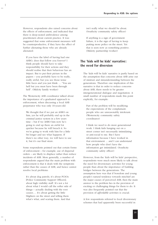However, respondents also raised concerns about the effects of enforcement, and indicated that there is deep-seated ambivalence among practitioners about current practice. It was suggested that some enforcement measures will be counterproductive, if they have the effect of further alienating those who are already alienated:

If you have the label of having had one ASBO, does that follow you forever? I think people should have to take responsibility for their actions and they should realise that their behaviour has an impact. But to put their picture in the papers – you probably have to be really, really awful; but you see those tense little faces and you just think … "You are hell but you must have been through hell". (Midcity family worker)

The Westerncity ASB coordinator talked about the importance of a graduated approach to enforcement, when discussing a local ASB perpetrator who was only 10-years-old:

We thought that if we put an ASBO on him, yes he will probably end up in the criminal justice system in a few years time – but if we ASBO him now he's going to end up there an awful lot quicker because he will breach it. So we're going to work with him for a little bit longer and see what happens. If there's no other way, we will have to use it, but it's our final straw.

Some respondents pointed out that certain forms of enforcement – for example, use of dispersal orders – are likely to displace rather than reduce incidents of ASB. More generally, a number of respondents argued that the main problem with enforcement is that it deals with the symptoms rather than the causes of ASB, and hence cannot resolve local problems:

It's about dog patrols; it's about PCSOs [Police Community Support Officers]; about high visibility stuff. It's not a lot about what I would call the softer side of things – actually dealing with the root causes…. It's about getting the little blighters on the street and telling them what's what, and scaring them. And that

isn't really what we should be about. (Southcity community safety officer)

If anything is a sign of government failure, it is the sign of having to keep putting more police on the street. Yet that is seen now as something positive. (Midcity partnership worker)

# **The 'kids will be kids' narrative: the need for diversion**

The 'kids will be kids' narrative is partly based on the assumption that concerns about ASB arise out of mistrust and misunderstanding between the generations. Therefore one implication of this narrative is that in order to reduce concerns about ASB, there needs to be greater intergenerational dialogue and negotiation. A small number of respondents made this point explicitly, for example:

Part of the problem will be modifying the expectations of the complainant: people who are unreasonably intolerant. (Westerncity community safety coordinator)

I think we need to do more generational work. I think kids hanging out on a street corner isn't necessarily intimidating or anti-social to me. But I have information because I have worked in that environment ... and I can understand how people who don't have the information get intimidated. (Southcity community safety officer)

However, from the 'kids will be kids' perspective, respondents were much more likely to talk about the need for diversionary activities for young people than about the importance of building bridges between the generations. The assumption here was that if boredom and young people's natural tendency towards mischief are the major causes of perceived ASB, then the main answer to the problem lies in the provision of exciting or challenging things for them to do. It was also frequently pointed out that the provision of *affordable* activities is crucial.

A few respondents referred to local diversionary schemes that had apparently been successful in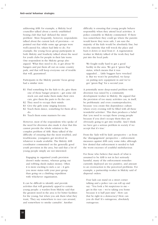addressing ASB: for example, a Midcity local councillor talked about a newly established boxing club that had 'defused the street problem'. More frequently, however, respondents talked about the current lack of provision – or pointed out that while some age groups were well-catered for, others had little to do. For example, the young focus group participants in both Midcity and Southcity talked about the need for youth clubs for people in their late teens. One respondent in the Midcity group also argued: 'What they need to do, is get about 50 bangers and put them all out on some country park, and that will keep everyone out of trouble that will, guaranteed'.

Participants in the Midcity parents' focus group had a similar view:

- R1 Find something for the kids to do, give them one of those banger projects – get some old stock cars and make them make their own cars, give them the parts to fix the cars.
- R2 They need to occupy their minds.
- R3 Give the girls some singing lessons.
- R2 Teach them dance, something for them all to do.
- R4 Teach them some manners for one.

However, most of the respondents who spoke of the need for diversion also made it clear that this cannot provide the whole solution to the complex problem of ASB. Many talked of the difficulty of ensuring that the most troubled, and troublesome, youngsters get involved in whatever is made available. The Midcity ASB coordinator commented on the generally good youth provision in the area, but said that a lot of young people simply are not interested:

Engaging in organised youth provision doesn't make money, whereas going out and robbing sheds makes money. Often it is more exciting to nick a car – it gets you more status with your peer group than going on a climbing expedition with whichever organisation.

It can be difficult to identify and provide activities that will genuinely appeal to certain young people: a warden from Midcity said that the greatest need in the area is for better facilities for the young; but when you ask them what they want, 'They say somewhere to race cars around, and somewhere to smoke cannabis'. Another

difficulty is ensuring that young people behave responsibly when they attend local activities. A police constable in Midcity commented: 'If there was somewhere they could go where the parents would know they were safe, I am sure the majority of the kids would be absolutely fine; but it's the minority that will wreck the place and burn it down or steal from it'. A regeneration worker in Midcity talked of the work they had put into the local park:

We fought really hard to get a good facility in the area. We got it "green flag" status, which means that it was upgraded…. Little buggers have wrecked it. But we won't be perturbed, we keep on putting new equipment in and we've got "green flag" for a second year.

A potentially more deep-seated problem with diversion was raised by a community development worker in Midcity. He argued that the provision of too many activities can, in itself, be problematic and even counterproductive, because 'you create this dependency culture where every evening will be filled with all these wonderful activities'. This then produces a belief that 'you need to occupy these young people because if you don't occupy them they are obviously going to get into trouble. And I think we have got a serious problem in society if we accept that it's true.'

From the 'kids will be kids' perspective – as from the 'disengagement' perspective – enforcement measures against ASB carry some risks; although few denied that enforcement is needed to halt the worst excesses of youthful misbehaviour.

For those who believe that much of what is assumed to be ASB is not in fact seriously harmful, many of the enforcement remedies currently deployed are too punitive, and amount to an overreaction to the perceived problems. For example, a partnership worker in Midcity said of dispersal orders:

Four lads can stand on a street corner talking and a police van can roll up and say: "You look a bit suspicious to me – get in this van – we're taking you home because it is half past nine". How can that be right in a democracy? How can you do that? It's outrageous, absolutely outrageous.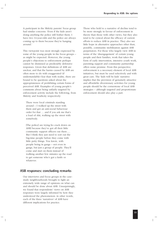A participant in the Midcity parents' focus group had similar concerns: 'Even if the kids aren't doing anything the police still bother them. I have two 14-year-olds and the police are always coming up to them because they're hanging around.'

This viewpoint was most strongly expressed by some of the young people in the focus groups – as might be expected. However, the young people's objections to enforcement perhaps cannot be dismissed as predictably defensive responses. Given that definitions of ASB are unclear, and that the harms caused by ASB are often more to do with exaggerated (if understandable) fear than with reality, there are bound to be questions asked about the appropriateness of prohibiting certain forms of perceived ASB. Examples of young people's comments about being unfairly targeted by enforcement activity include the following, from Midcity and Southcity respectively:

There were local criminals standing around – I walked up the street with them and got an anti-social behaviour order for that … and if you ask me that's a load of shit, walking up the street with somebody.

[The police] are trying [to crack down on ASB] because they've got all their little community support officers out there.… But I think they just need to sort out the big-time people before they come with little petty things. You know, with people being in gangs – not even in gangs, but just a group of people. They'll come and start on them instead of walking another few minutes up the road to get someone who's got a knife or whatever.

#### **ASB responses: concluding remarks**

Our interviews and focus groups in the casestudy neighbourhoods brought to light an extremely wide range of opinions on what can and should be done about ASB. Unsurprisingly, we found that respondents' views on ASB responses were largely informed by how they understood the phenomenon: in other words, each of the three 'narratives' of ASB have different implications for practice.

Those who hold to a narrative of decline tend to be more strongly in favour of enforcement in theory than those with other views, but they also tend to be cynical about the efficacy of current efforts to reduce ASB in practice. They also see little hope in alternative approaches other than, possibly, community mobilisation against ASB perpetrators. For those who largely view ASB in terms of the 'disengagement' of certain young people and their families, work that takes the form of early intervention, intensive youth work, parenting support and community partnership offers some promise. From this perspective, enforcement is a necessary element of local ASB initiatives, but must be used selectively and with great care. The 'kids will be kids' narrative implies that the provision of genuinely attractive and affordable diversionary activities for young people should be the cornerstone of local ASB strategies – although targeted and proportionate enforcement should also play a part.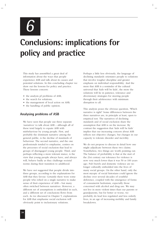*6*

# **Conclusions: implications for policy and practice**

This study has assembled a great deal of information about the ways that people experience ASB and talk about its causes and potential solutions. In this concluding chapter we draw out the lessons for policy and practice. These lessons concern:

- the analysis pf problems of ASB;
- the search for solutions;
- the management of local action on ASB;
- the handling of public opinion.

# **Analysing problems of ASB**

We have seen that people use three separate 'narratives' to talk about ASB – although all of these tend largely to equate ASB with misbehaviour by young people. First, and probably the dominant narrative among the general public, is the decline of standards of behaviour. The second narrative, and the one professionals tended to emphasise, centres on the processes of social exclusion that lead to groups of disengaged young people. Third, and perhaps reflecting a more tolerant stance, is the view that young people always have, and always will, behave badly as they challenge societal norms during their transition to adulthood.

We have *not* suggested that people divide into three groups, according to the explanations for ASB that they favour. Certainly there were some people who relied on a single narrative to make sense of their experience of ASB – but many often switched between narratives. However, a different set of assumptions is embedded in each, and a different set of conclusions flows from each. As we discussed in Chapter 5, explanations for ASB that emphasise social exclusion will obviously point to inclusionary solutions.

Perhaps a little less obviously, the language of declining standards orientates people to solutions that involve tougher discipline and greater emphasis on individual responsibility. And the more that ASB is a reminder of the cultural universal that 'kids will be kids', the more the solutions will lie in patience, tolerance and diversionary strategies for steering people through their adolescence with minimum disruption to all.

This analysis poses the obvious question, 'Which narrative is right?' Some differences between the three narratives are, in principle at least, open to empirical test. The narratives of declining standards and of social exclusion share the assumption that ASB is on the increase. By contrast the suggestion that 'kids will be kids' implies that our increasing concern about ASB reflects not objective changes, but changes in our capacity to tolerate disorder and incivility.

We do not propose to discuss in detail how one might adjudicate between these two claims. Nonetheless, two things are worth pointing out. The balance of probability is that at the start of the 21st century our tolerance for violence is now very much lower than it was 50 or 100 years ago. Pub brawls and domestic violence are no longer culturally embedded into the lives of many social groups. On the other hand, only the most myopic of social historians could ignore the decline over several decades of youthful deference, coupled with the emergence of forms of consumerist hedonism, especially those concerned with alcohol and drug use. We may not live in more violent times than our parents or grandparents, but for better or worse, we probably do lead less regulated and less orderly lives, in an age of increasing mobility and family breakdown.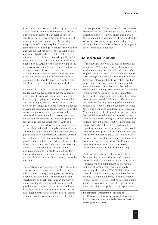It is much harder to say whether a growth in ASB – or at least a decline in orderliness – is better understood in terms of a general decline in standards, or in terms of the social exclusion of some groups that is created by the growing inequalities of 21st-century life. The most important set of findings to emerge from Chapter 2 is that the vast majority of the population do *not* suffer significantly from ASB. Rather, a minority have their lives affected by ASB, and a very small minority find that their lives are truly blighted by it. Arguably, this lends weight to the narrative of social exclusion – where the losers in a 'winner takes all' society create truly troublesome problems for others. On the other hand, one might explain the concentration of ASB among the socially deprived simply as the tip of the iceberg of social and moral decline.

We conclude that factual evidence will shed only limited light on the debate about the causes of ASB. After all, criminal policy and criminology have been grappling with similar questions for decades, trying to strike a constructive balance between the language of blame and the language of criminal causation in dealing with people who are certainly moral agents, but whose selfcommand is often limited, and sometimes very limited indeed. Perhaps the important point to recognise is that the emergence of ASB as a policy concern has led to a re-emergence of the debate about criminal (or legal) responsibility in a reshaped and slightly reformulated way. The population of ASB perpetrators certainly overlaps very extensively with the population that provides the criminal courts with their staple diet. What political and media debate about ASB has done is to reinvigorate the narrative about declining standards – with its implicit call for tougher discipline – by finding a new set of graphic illustrations of malice causing pain to the innocent.

This analysis is not intended to make light of the distress caused to those who are the victims of ASB. On the contrary, we suggest that loosely deployed rhetoric about 'mindless louts' and 'neighbours from hell' can stand in the way of understanding the origins and nature of such problems and thus can block effective solutions. It is important to understand the processes that lead neighbourhoods to lose their social capital – or their capacity to sustain standards of civility

and cooperation.19 That sense of powerlessness besetting our least advantaged communities is a reflection partly of cultural shifts, and partly of the unintended consequences of several decades of social, economic and policing policy. In finding solutions to ASB problems, this range of factors must not be ignored.

### **The search for solutions**

This study has involved *analysis* of approaches to tackling ASB, but we cannot claim to have *evaluated* what works and what does not. Our original intention was to 'compare and contrast' ASB strategies that struck very different balances between enforcement and prevention. We had hoped that some systematic differences might emerge between areas that could be tied to strategies for tackling ASB. However, our starting premise was not supported. The similarities between the responses to ASB in the three areas were greater than the differences. The area that was selected for its privileging of enforcement turned out to have a 'mixed economy' in which there was significant investment in prevention. The area selected for its emphasis on prevention had well-developed systems for enforcement. And the area representing the middle ground did indeed show a balance – but no more than our supposed outliers. Even if we had found significant natural variation, however, we would have been hard-pressed to say whether one area had found the best balance. What we can do, however, is reflect the experiences of those who were responsible for tackling ASB in these neighbourhoods on a daily basis. Several interrelated points are worth emphasising.

First, we were struck by the sharp contrast between the push to prioritise enforcement at a national level, and concerns about the risks of enforcement and commitment to preventive options, at local levels. This is not totally surprising: the national TOGETHER initiative is, after all, a time-limited *campaign,* intended to respond to public concerns, to reduce public preparedness to tolerate ASB, to increase public expectations about the level of response from local authorities and police, and to spur these

**<sup>19</sup>** It is contestable whether the 'bonding capital' of neighbourhoods is depleted by exposure to disadvantage, but it is easy to see how their 'bridging capital' could be eroded (cf Putnam, 2000)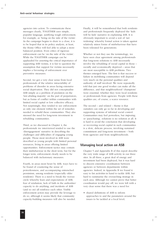agencies into action. To communicate these messages clearly, TOGETHER uses simple, populist language, justifying tough enforcement, for example, as 'being on the side of the victim'. As the campaign begins to draw to a close, it is to be hoped that in its policy analysis, at least, the Home Office will feel able to adopt a more balanced position. Even critics of rigorous enforcement can be 'on the side of the victim'. While the TOGETHER campaign can be applauded for asserting the critical importance of supporting ASB victims, it is fair to question the assumption that support for victims necessarily implies a favouring of enforcement over preventive measures.

Second, we got a very clear sense from local professionals of the relative intractability of problems of disorder in areas facing extensive social deprivation. They did not conceptualise ASB simply as a problem of predation on the 'law-abiding majority' on the part of perpetrators, but as forms of conflict within communities with limited social capital or low collective efficacy. Not surprisingly, they tended to see enforcement as only one element within the set of remedies needed to rebuild these communities. They also stressed the need for long-term investment in rebuilding communities.

Third, as we discussed in Chapter 4, the professionals we interviewed tended to use the 'disengagement' narrative in describing the challenges and difficulties of engaging young people. Those most involved in ASB were described as young people with limited personal resources, living in areas offering limited opportunities. Enforcement tactics may contain their misbehaviour in the short term, but for the longer term, enforcement clearly needs to be balanced with inclusionary measures.

Fourth, in areas most beset by ASB, ways have to be found of countering the sense of powerlessness, and accompanying entrenched pessimism, among residents (especially older residents). There is a need to break the vicious circle whereby fears and expectations of ASB, fear of retaliation, lack of faith in the authorities' capacity to do anything, and incidents of ASB (and so on) all reinforce each other. Visible enforcement action may provide the leverage to do so, although it seems likely that community capacity-building measures will also be needed.

Finally, it will be remembered that both residents and professionals frequently deployed the 'kids will be kids' narrative in explaining ASB. It is obviously important to avoid a sort of 'net widening' whereby formal action is taken against relatively minor forms of misbehaviour that have been tolerated for generations.

Whether or not they use the terminology, we have seen clear agreement among professionals that long-term solutions to ASB necessarily involve the rebuilding of social capital in those – socially and economically deprived – areas that are most susceptible to ASB problems. Two themes emerged here. The first is that success or failure in mobilising communities will depend very much on the personal qualities and authority of staff involved. We were repeatedly told that just one good worker can make all the difference, and that neighbourhood 'champions' were essential, whether they were local residents or professionals from agencies. People with these qualities are, of course, a scarce resource.

The second – and related – theme is that outsiders can only go so far in developing and supporting systems of informal social control. Communities may feel powerless, but *imposing*, or 'parachuting', solutions is no solution at all. It is hard to avoid the conclusion that developing or recovering social capital in such communities is a slow, delicate process, involving sustained commitment and long-term investment – both from agencies and from neighbourhoods.

# **Managing local action on ASB**

Chapter 5 and Appendix B of this report describe the very wide range of ASB activity in our three sites. In all three, a great deal of energy and investment had been deployed, but it was hard to discern extensive coordination between agencies or between departments within agencies. Indeed, in Appendix B we found it easy to list *activities* in hand to tackle ASB, but hard to summarise the overarching strategy in each area. Although we cannot prove that better coordination would pay off, we were left with a very clear sense that there was a need for:

• shared definitions of ASB to inform approaches to and the parameters around the issues to be tackled at a local level;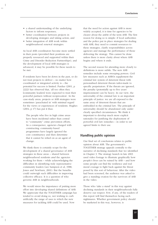- a shared understanding of the underlying factors to inform responses;
- better coordination between projects in developing strategies and taking action; and
- better integration of ASB work within neighbourhood renewal strategies.

As local ASB coordinators become more settled in their posts (provided their positions are properly resourced and supported within their Crime and Disorder Reduction Partnerships), and the development of local ASB strategies is advanced, it may be possible for these needs to be met.

If residents have been let down in the past, or do not trust projects to deliver – no matter how coordinated or integrated activity is – the potential for success is limited. Purdue (2001, p 2222) has observed that, 'all too often they [community leaders] were expected to trust their powerful partners without reciprocation'. In the case-study areas, projects or ASB strategies were sometimes 'parachuted in' with minimal regard for the views or experiences of residents. Hughes  $(2004, p 17)$  has put it thus:

The people who live in high crime areas have been incidental rather than central to "community" crime prevention efforts. As a consequence, agencies charged with constructing community-based programmes have largely ignored the core constituency and then determine that it cannot be relied on as an agent of change.

We think there is certainly scope for the development of a shared governance of ASB strategies in these areas – shared between neighbourhood residents *and* the agencies working for them – while acknowledging the difficulties in identifying truly representative community leaders (see Sampson et al, 1988; Jones and Newburn, 2001). But the benefits could outweigh such difficulties in improving collective efficacy. It is a question of who governs ASB in neighbourhoods.

We would stress the importance of putting more effort into developing shared definitions of ASB. We appreciate that the TOGETHER campaign has tended to avoid doing so, not wishing to curb artificially the range of uses to which the new measures for tackling ASB could be used. Now

that the need for action against ASB is more widely accepted, it is time for agencies to be clearer about the ambit of the term ASB. The first reason for doing so is simple: if local authorities and the police put in place strategies for dealing with ASB, they need to commit resources to these strategies, clarify responsibilities across agencies and manage the performance of those delivering the strategy. This cannot be done unless there is more clarity about where ASB begins and where it ends.

The second reason for attending more closely to definitions is more subtle. The new ASB remedies include some sweeping powers. Civil law measures such as ASBOs supplement the criminal law system of deterrent threat with personalised deterrent threats tailor-made to specific perpetrators. If the threats are ignored, the penalty (potentially up to five years' imprisonment) can be heavy. In our view, the universality of the criminal law is an important principle of justice: we are all exposed to the same array of deterrent threats that are embedded in the criminal law. The principle of universality should be abandoned only under clearly specified circumstances. We think it important to develop much more explicit rationales for justifying the deployment of powerful civil law remedies – in order to set agreed limits to their use.

# **Handling public opinion**

Our final set of conclusions relates to public opinion about ASB. The government's TOGETHER strategy appeals centrally to the narrative of declining standards that we identified in Chapter 3. The strategy launch in late 2003 used video footage to illustrate graphically how people's lives can be ruined by ASB – and how some people can find the resilience and real moral courage to fight back against the threat posed by this sort of behaviour. After the video had been screened, the audience was asked to give a standing ovation for the survivors of ASB in the video.

Those who 'take a stand' in this way against declining standards in their neighbourhoods fully deserve our respect. Few, if any, of the readers of this report will find themselves facing such nightmares. Whether government policy should be marketed in this way, however, is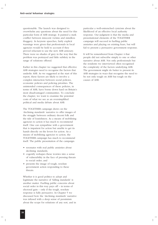questionable. The launch was designed to overwhelm any questions about the need for this particular form of ASB strategy. It painted a stark conflict between innocent victims and mindless thuggery. In keynote speeches, fairly explicit warnings were given that professionals in local agencies would be held to account if they proved reluctant to use the new ASB armoury. There were no shades of grey in the way that the problem was portrayed and little subtlety in the range of solutions offered.

Earlier in this chapter we suggested that effective ASB strategies need to recognise the factors that underlie ASB. As we suggested at the start of this report, these factors are likely to involve a complex interaction between social policies, economic policies and policing priorities. The unintended consequences of these policies, in terms of ASB, have borne down hard on Britain's most disadvantaged communities. To conclude the chapter, we want to examine the potential costs of what we see as an oversimplified political and media debate about ASB.

The TOGETHER campaign draws on the 'declining standards' narrative to offer images of the struggle between ordinary decent folk and the tide of loutishness. As a means of mobilising agencies to action it has much to recommend itself. One can sympathise with a government that is impatient for action but unable to get its hands directly on the levers for action. As a means of mobilising agencies to action, the TOGETHER campaign has much to recommend itself. The public presentation of the campaign:

- resonates with real public anxieties about declining standards;
- cogently reshapes these worries into a sense of vulnerability in the face of pressing threats to social order; and
- presents the image of tough, resolute government action responding to these threats.

Whether it is good politics to adopt and legitimate the narrative of 'falling standards' is another matter. Fuelling public concerns about social order in this way pays off – in terms of electoral gain – only if the tough, resolute response is fully persuasive. In Chapter 5 we discussed how the 'declining standards' narrative was infused with a deep sense of pessimism about the scope for solutions of any sort, and in

particular a well-entrenched cynicism about the likelihood of an effective local authority response. Our judgment is that the media and presentational elements of the TOGETHER campaign will succeed in fuelling public anxieties and playing on existing fears, but will fail to present a persuasive government response.

It will be remembered from Chapter 4 that people did not subscribe simply to one or other narrative about ASB. Not only professionals but the residents we interviewed often recognised the complexity of the factors underlying ASB. The government might do better to present its ASB strategies in ways that recognise the need to be not only tough on ASB but tough on the causes of ASB.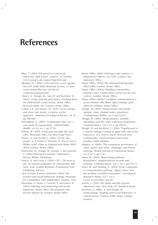# **References**

- Blair, T. (2003) PM speech on anti-social behaviour, QEII Centre, London, 14 October (www.pm.gov.uk/output/Page4644.asp).
- Blunkett, D. (2003) 'Civil renewal: a new agenda', The CSV Edith Kahn Memorial Lecture, 11 June (www.homeoffice.gov.uk/docs2/ civilrennewagenda.pdf).
- Clancy, A., Hough, M., Aust, R. and Kershaw, K. (2001) *Crime, policing and justice: Findings from the 2000 British Crime Survey*, Home Office Research Study 223, London: Home Office.
- Cohen, L.E. and Felson, M. (1979) 'Social change and crime rate trends: a routine activity approach', *American Sociological Review*, vol 44, pp 588-608.
- Fairnington, A. (2004) 'Communities that care: a case study of regeneration', *Critical Public Health*, vol 14, no 1, pp 27-36.
- Felson, M. (1998) *Crime and everyday life* (2nd edn), Thousand Oaks, CA: Pine Forge Press.
- Finney, A. and Toofail, J. (2004) 'Levels and trends', in T. Dodd, S. Nicholas, D. Povey and A. Walker (eds) *Crime in England and Wales 2003/ 2004*, London: Home Office.
- FitzGerald, M., Hough, M., Joseph, I. and Qureshi, T. (2002) *Policing for London*, Cullompton, Devon: Willan Publishing.
- France, A. and Crow, I. (2001) *CTC The story so far: An interim evaluation of Communities that Care*, York: Joseph Rowntree Foundation/York Publishing Services.
- GLA (Greater London Authority) (2004) *The London anti-social behaviour strategy: Proposals for consultation with stakeholders*, London: GLA.
- Harradine, S., Kodz, J., Lernetti, F. and Jones, B. (2004) *Defining and measuring anti-social behaviour*, Home Office Development and Practice Report 26, London: Home Office.
- Home Office (2001) *Policing a new century: A blueprint for reform*, Cm 5326, London: The Stationery Office.
- Home Office (2002) *The national policing plan 2003-2006*, London: Home Office.
- Home Office (2004a) *Building communities, beating crime: A better police service for the 21st century*, London: Home Office.
- Home Office (2004b) *Confident communities in a secure Britain: The Home Office strategic plan 2004-08*, London: Home Office.
- Hough, M. (2003) 'Modernisation and public opinion: some criminal justice paradoxes', *Contemporary Politics*, no 9, pp 143-55.
- Hough, M. (2004) 'Modernisation, scientific rationalism and the crime reduction programme', *Criminal Justice,* vol 4, no 3, pp 239-53.
- Hough, M. and Jacobson, J. (2004) 'Togetherness is a shared strategy? Getting to grips with anti-social behaviour', in J. Grieve and R. Howard (eds) *Communities, social exclusion and crime*, London: Smith Institute.
- Hughes, G. (2004) 'The community governance of crime, justice and safety: challenges and lessondrawing', *British Journal of Community Justice*, vol 2, no 3, pp 7-20.

Innes, M. (2004) 'Reinventing tradition? Reassurance, neighbourhood security and policing', *Criminal Justice*, vol 4, no 2, pp 151-71.

- Innes, M. and Fielding, N. (2002) 'From community to communicative policing: 'signal crimes' and the problem of public reassurance', *Sociological Research Online*, vol 7, no 2 (www.socresonline.org.uk).
- Jacobs, J. (1961) *The death and life of great American cities,* New York, NY: Random House. Jacobson, J., Millie, A. and Hough, M.
- (forthcoming) *Tackling anti-social behaviour: A critical review*, London: ICPR, King's College London.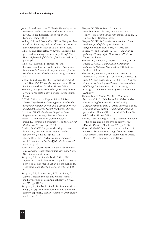Jones, T. and Newburn, T. (2001) *Widening access: Improving public relations with hard to reach groups*, Police Research Series Paper 138, London: Home Office.

Kelling, G.L. and Coles, C.M. (1996) *Fixing broken windows: Restoring order and reducing crime in our communities*, New York, NY: Free Press.

Millie, A. and Herrington, V. (2005) 'Bridging the gap: understanding reassurance policing', *The Howard Journal of Criminal Justice*, vol 44, no 1, pp 41-56.

Millie, A., Jacobson, J., Hough, M. and Paraskevopoulou, A. (forthcoming) *Anti-social behaviour in London: Setting the context for the London anti-social behaviour strategy,* London: GLA.

Moore, L. and Yeo, H. (2004) *Crime in England and Wales 2003/4: London region*, Home Office Regional factsheet, London: Home Office.

Newman, O. (1972) *Defensible space: People and design in the violent city*, London: Architectural Press.

ODPM (Office of the Deputy Prime Minister) (2004) *Neighbourhood Management Pathfinder programme national evaluation: Annual review 2002/2003 Research Report*, Wetherby: ODPM.

Ove Arup (2000) *[Southcity] Neighbourhood Regeneration Strategy*, London: Ove Arup.

Phillips, T. and Smith, P. (2003) 'Everyday incivility: towards a benchmark', *The Sociological Review*, vol 51, no 1, pp 85-108.

Purdue, D. (2001) 'Neighbourhood governance: leadership, trust and social capital', *Urban Studies*, vol 38, no 12, pp 2211-24.

Putnam, R.D. (1994) 'What makes democracy work?', *Institute of Public Affairs Review*, vol 47, no 1, pp 31-4.

Putnam, R.D. (2000) *Bowling alone: The collapse and revival of American community*, New York, NY: Simon and Schuster.

Sampson, R.J. and Raudenbush, S.W. (1999) 'Systematic social observation of public spaces: a new look at disorder in urban neighbourhoods', *American Journal of Sociology*, no 105, pp 603- 51.

Sampson, R.J., Raudenbush, S.W. and Earls, F. (1997) 'Neighbourhoods and violent crime: a multilevel study of collective efficacy', *Science*, no 277, pp 918-24.

Sampson, A., Stubbs, P., Smith, D., Pearson, G. and Blagg, H. (1988) 'Crime, localities and the multiagency approach', *British Journal of Criminology*, no 28, pp 478-93.

Skogan, W. (1986) 'Fear of crime and neighbourhood change', in A.J. Reiss and M. Tonry (eds) *Communities and crime*, Chicago, IL: University of Chicago Press.

Skogan, W. (1990) *Disorder and decline: Crime and the spiral of decay in American neighbourhoods*, New York, NY: Free Press.

Skogan, W. and Hartnett, S. (1997) *Community policing, Chicago style*, New York, NY: Oxford University Press.

Skogan, W., Steiner, L., Dubois, J., Gudell, J.E. and Fagan, A. (2002) *Taking stock: Community policing in Chicago*, Washington, DC: National Institute of Justice.

Skogan, W., Steiner, L., Benitez, C., Dennis, J., Borchers, S., Dubois, J., Gondocs, R., Hartnett, S., Kim, S.Y. and Rosenbaum, S. (2004) *CAPS at ten: Community policing in Chicago: An evaluation of Chicago's alternative policing strategy*, Chicago, IL: Illinois Criminal Justice Information Authority.

Thorpe, K. and Wood, M. (2004) 'Antisocial behaviour', in S. Nicholas and A. Walker (eds) *Crime in England and Wales 2002/2003: Supplementary volume 2: Crime, disorder and the criminal justice system – Public attitudes and perceptions*, Home Office Statistical Bulletin 02/ 04, London: Home Office.

Wilson, J. and Kelling, G. (1982) 'Broken windows – the police and neighborhood safety', *The Atlantic Monthly*, March, no 249, pp 29-38.

Wood, M. (2004) Perceptions and experience of antisocial behaviour: Findings from the 2003/ 2004 British Crime Survey, Home Office Online Report 49/04, London: Home Office.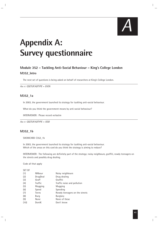

# **Appendix A: Survey questionnaire**

# **Module 352 – Tackling Anti-Social Behaviour – King's College London M352\_Intro**

The next set of questions is being asked on behalf of researchers at King's College London.

*ASK IF: QSETUP.ADTYPE = EVEN*

#### **M352\_1a**

In 2003, the government launched its strategy for tackling anti-social behaviour.

What do you think the government means by anti-social behaviour?

INTERVIEWER: Please record verbatim

*ASK IF: QSETUP.ADTYPE = ODD*

#### **M352\_1b**

SHOWCARD C352\_1b

In 2003, the government launched its strategy for tackling anti-social behaviour. Which of the areas on this card do you think the strategy is aiming to reduce?

INTERVIEWER: The following are definitely part of the strategy: noisy neighbours, graffiti, rowdy teenagers on the streets and possibly drug dealing.

Code all that apply

SET OF

| (1)  | NNbour         | Noisy neighbours               |
|------|----------------|--------------------------------|
| (2)  | DrugDeal       | Drug dealing                   |
| (3)  | Graff          | Graffiti                       |
| (4)  | <b>Traffic</b> | Traffic noise and pollution    |
| (5)  | Mugging        | Mugging                        |
| (6)  | Speed          | Speeding                       |
| (7)  | Teens          | Rowdy teenagers on the streets |
| (8)  | Burg           | <b>Burglary</b>                |
| (9)  | None           | None of these                  |
| (10) | DontK          | Don't know                     |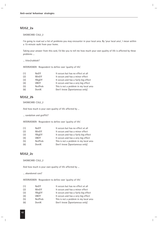#### **M352\_2a**

#### SHOWCARD C352\_2

I'm going to read out a list of problems you may encounter in your local area. By 'your local area', I mean within a 15-minute walk from your home.

Taking your answer from this card, I'd like you to tell me how much your own quality of life is affected by these problems ...

... litter/rubbish?

INTERVIEWER: Respondent to define own 'quality of life'.

| (1) | <b>NoEff</b>   | It occurs but has no effect at all     |
|-----|----------------|----------------------------------------|
| (2) | MinEff         | It occurs and has a minor effect       |
| (3) | FBigEff        | It occurs and has a fairly big effect  |
| (4) | VBEff          | It occurs and has a very big effect    |
| (5) | <b>NotProb</b> | This is not a problem in my local area |
| (6) | DontK          | Don't know [Spontaneous only]          |
|     |                |                                        |

#### **M352\_2b**

SHOWCARD C352\_2

And how much is your own quality of life affected by ...

... vandalism and graffiti?

INTERVIEWER: Respondent to define own 'quality of life'.

| (1) | <b>NoEff</b> | It occurs but has no effect at all     |
|-----|--------------|----------------------------------------|
| (2) | MinEff       | It occurs and has a minor effect       |
| (3) | FBigEff      | It occurs and has a fairly big effect  |
| (4) | <b>VBEff</b> | It occurs and has a very big effect    |
| (5) | NotProb      | This is not a problem in my local area |
| (6) | DontK        | Don't know [Spontaneous only]          |
|     |              |                                        |

### **M352\_2c**

#### SHOWCARD C352\_2

And how much is your own quality of life affected by ...

... abandoned cars?

INTERVIEWER: Respondent to define own 'quality of life'.

| <b>NoEff</b> | It occurs but has no effect at all     |
|--------------|----------------------------------------|
| MinEff       | It occurs and has a minor effect       |
| FBigEff      | It occurs and has a fairly big effect  |
| <b>VBEff</b> | It occurs and has a very big effect    |
| NotProb      | This is not a problem in my local area |
| DontK        | Don't know [Spontaneous only]          |
|              |                                        |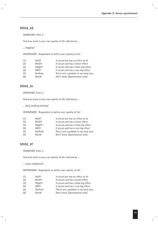#### **M352\_2d**

SHOWCARD C352\_2

And how much is your own quality of life affected by ...

... begging?

INTERVIEWER: Respondent to define own 'quality of life'.

| (1) | <b>NoEff</b> | It occurs but has no effect at all     |
|-----|--------------|----------------------------------------|
| (2) | MinEff       | It occurs and has a minor effect       |
| (3) | FBigEff      | It occurs and has a fairly big effect  |
| (4) | <b>VBEff</b> | It occurs and has a very big effect    |
| (5) | NotProb      | This is not a problem in my local area |
| (6) | DontK        | Don't know [Spontaneous only]          |
|     |              |                                        |

### **M352\_2e**

#### SHOWCARD C352\_2

And how much is your own quality of life affected by ...

... drug use/drug dealing?

INTERVIEWER: Respondent to define own 'quality of life'.

| (1) | <b>NoEff</b> | It occurs but has no effect at all     |
|-----|--------------|----------------------------------------|
| (2) | MinEff       | It occurs and has a minor effect       |
| (3) | FBigEff      | It occurs and has a fairly big effect  |
| (4) | <b>VBEff</b> | It occurs and has a very big effect    |
| (5) | NotProb      | This is not a problem in my local area |
| (6) | DontK        | Don't know [Spontaneous only]          |
|     |              |                                        |

# **M352\_2f**

SHOWCARD C352\_2

And how much is your own quality of life affected by ...

... noisy neighbours?

INTERVIEWER: Respondent to define own 'quality of life'.

| (1) | <b>NoEff</b> | It occurs but has no effect at all     |
|-----|--------------|----------------------------------------|
| (2) | MinEff       | It occurs and has a minor effect       |
| (3) | FBigEff      | It occurs and has a fairly big effect  |
| (4) | VBEff        | It occurs and has a very big effect    |
| (5) | NotProb      | This is not a problem in my local area |
| (6) | DontK        | Don't know [Spontaneous only]          |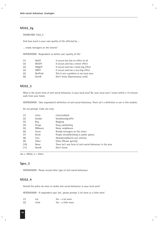# **M352\_2g**

SHOWCARD C352\_2

And how much is your own quality of life affected by ...

... rowdy teenagers on the streets?

INTERVIEWER: Respondent to define own 'quality of life'.

| It occurs but has no effect at all     |
|----------------------------------------|
| It occurs and has a minor effect       |
| It occurs and has a fairly big effect  |
| It occurs and has a very big effect    |
| This is not a problem in my local area |
| Don't know [Spontaneous only]          |
|                                        |

#### **M352\_3**

What is the worst form of anti-social behaviour in your local area? By 'your local area' I mean within a 15-minute walk from your home.

INTERVIEWER: Take respondent's definition of anti-social behaviour. There isn't a definition in use in this module.

Do not prompt. Code one only.

| (1)  | Litter         | Litter/rubbish                                            |
|------|----------------|-----------------------------------------------------------|
| (2)  | Vandal         | Vandalism/graffiti                                        |
| (3)  | <b>Beg</b>     | <b>Begging</b>                                            |
| (4)  | Drugs          | Drug use/dealing                                          |
| (5)  | <b>NNbours</b> | Noisy neighbours                                          |
| (6)  | Teens          | Rowdy teenagers on the street                             |
| (7)  | Drink          | People drunk/drinking in public places                    |
| (8)  | Cars           | Abandoned/burnt-out vehicles                              |
| (9)  | 0ther          | Other [Please specify]                                    |
| (10) | None           | There isn't any form of anti-social behaviour in the area |
| (11) | DontK          | Don't know                                                |
|      |                |                                                           |

*ASK IF: M352\_3 = Other*

#### **Spec\_3**

INTERVIEWER: Please record other type of anti-social behaviour.

### **M352\_4**

Should the police do more to tackle anti-social behaviour in your local area?

INTERVIEWER: If respondent says 'yes', please prompt 'a lot more or a little more'.

| (1) | Tot    | $Yes - a lot more$  |
|-----|--------|---------------------|
| (2) | Little | Yes – a little more |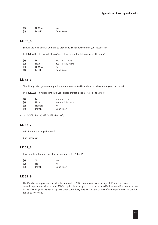| (3) | <b>NoMore</b> | No         |
|-----|---------------|------------|
| (4) | DontK         | Don't know |

#### **M352\_5**

Should the local council do more to tackle anti-social behaviour in your local area?

INTERVIEWER: If respondent says 'yes', please prompt 'a lot more or a little more'.

| (1) | Lot           | Yes $-$ a lot more  |
|-----|---------------|---------------------|
| (2) | Little        | Yes – a little more |
| (3) | <b>NoMore</b> | No                  |
| (4) | DontK         | Don't know          |

#### **M352\_6**

Should any other groups or organisations do more to tackle anti-social behaviour in your local area?

INTERVIEWER: If respondent says 'yes', please prompt 'a lot more or a little more'.

| (1) | Lot           | Yes - a lot more    |
|-----|---------------|---------------------|
| (2) | Little        | Yes – a little more |
| (3) | <b>NoMore</b> | No                  |
| (4) | DontK         | Don't know          |
|     |               |                     |

*ASK IF: (M352\_6 = Lot) OR (M352\_6 = Little)*

#### **M352\_7**

Which groups or organisations?

Open response

#### **M352\_8**

Have you heard of anti-social behaviour orders (or ASBOs)?

| (1) | Yes.  | Yes        |
|-----|-------|------------|
| (2) | No    | No         |
| (3) | DontK | Don't know |

#### **M352\_9**

The Courts can impose anti-social behaviour orders, ASBOs, on anyone over the age of 10 who has been committing anti-social behaviour. ASBOs require these people to keep out of specified areas and/or stop behaving in specified ways. If the person ignores these conditions, they can be sent to prison/a young offenders' institution for up to five years.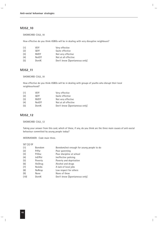#### **M352\_10**

SHOWCARD C352\_10

How effective do you think ASBOs will be in dealing with very disruptive neighbours?

| (1) | VEff          | Very effective                |
|-----|---------------|-------------------------------|
| (2) | 0Fff          | Quite effective               |
| (3) | <b>NVEff</b>  | Not very effective            |
| (4) | <b>NotEff</b> | Not at all effective          |
| (5) | DontK         | Don't know [Spontaneous only] |

#### **M352\_11**

#### SHOWCARD C352\_10

How effective do you think ASBOs will be in dealing with groups of youths who disrupt their local neighbourhood?

| (1) | VEff          | Very effective                |
|-----|---------------|-------------------------------|
| (2) | 0Fff          | Quite effective               |
| (3) | <b>NVEff</b>  | Not very effective            |
| (4) | <b>NotEff</b> | Not at all effective          |
| (5) | DontK         | Don't know [Spontaneous only] |
|     |               |                               |

#### **M352\_12**

SHOWCARD C352\_12

Taking your answer from this card, which of these, if any, do you think are the three main causes of anti-social behaviour committed by young people today?

INTERVIEWER: Code main three.

#### SET [3] OF

| (1)  | <b>Boredom</b> | Boredom/not enough for young people to do |
|------|----------------|-------------------------------------------|
| (2)  | PrPar          | Poor parenting                            |
| (3)  | PrDisc         | Poor discipline at school                 |
| (4)  | <b>InEfPol</b> | Ineffective policing                      |
| (5)  | Poverty        | Poverty and deprivation                   |
| (6)  | AlcDrug        | Alcohol and drugs                         |
| (7)  | <b>NoJobs</b>  | A lack of local jobs                      |
| (8)  | <b>NoResp</b>  | Low respect for others                    |
| (9)  | <b>None</b>    | None of these                             |
| (10) | DontK          | Don't know [Spontaneous only]             |
|      |                |                                           |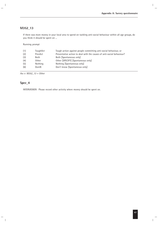# **M352\_13**

If there was more money in your local area to spend on tackling anti-social behaviour within all age groups, do you think it should be spent on ...

Running prompt

| (1) | ToughAct | Tough action against people committing anti-social behaviour, or      |
|-----|----------|-----------------------------------------------------------------------|
| (2) | PrevAct  | Preventative action to deal with the causes of anti-social behaviour? |
| (3) | Both     | Both [Spontaneous only]                                               |
| (4) | Other    | Other [SPECIFY] [Spontaneous only]                                    |
| (5) | Nothing  | Nothing [Spontaneous only]                                            |
| (6) | DontK    | Don't know [Spontaneous only]                                         |

*ASK IF: M352\_13 = Other*

# **Spec\_4**

INTERVIEWER: Please record other activity where money should be spent on.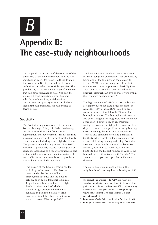*B*

# **Appendix B: The case-study neighbourhoods**

This appendix provides brief descriptions of the three case-study neighbourhoods, and the ASB initiatives in each. We found it difficult to map the work on ASB being carried out by local authorities and other responsible agencies. The problem lay in the very wide range of initiatives that had *some* relevance to ASB. Not only the police but local education authorities and schools, youth services, social services departments and primary care trusts all share significant responsibilities for responding to forms of ASB.

### **Southcity**

The Southcity neighbourhood is in an inner London borough. It is particularly disadvantaged and has attracted funding from various regeneration and development streams. Housing provision is largely in the form of local-authorityowned estates, including some high-rise blocks. The population is ethnically mixed (26% BME), including a particularly distinct Somali group of residents. According to a report produced as part of the neighbourhood regeneration strategy, the area suffers from an accumulation of problems that make it particularly deprived:

The design of the housing estates has led to feelings of separation. This has been compounded by the lack of local employment facilities and the need to rely on poor public transport facilities.… In particular this area suffers from high levels of crime, much of which is thought to go unreported and is not reflected in published statistics. [The area] exhibits all the classic symptoms of social exclusion (Ove Arup, 2000).

The local authority has developed a reputation for being tough on enforcement, for example, by being one of the top areas in the country for issuing ASBOs, and by being one of the first to trial the new dispersal powers in 2004. By June 2004, over 80 ASBOs had been issued in the borough, although just two of these were within the Southcity neighbourhood.**<sup>1</sup>**

The high numbers of ASBOs across the borough are largely due to its acute drugs problem. By April 2004, 60% of its ASBOs related to drug users or dealers, of which only 3% were for borough residents.**<sup>2</sup>** The borough's main centre has been a magnet for drug users and dealers for some years; however, tough enforcement strategies, involving a high police presence, have displaced some of the problems to neighbouring areas, including the Southcity neighbourhood. There is one particular street and a market in Southcity where local residents are concerned about visible drug dealing and using. Southcity also has a large 'youth nuisance' problem. For instance, according to March 2004 figures, Southcity had the highest number of calls to the borough for youth nuisance with 74 calls.**<sup>3</sup>** The area also has a particular problem with street drinkers.

There are numerous projects active in the neighbourhood that may have a bearing on ASB.

**<sup>1</sup>** The borough has a target of 16 ASBOs per year, but is securing around 40 per year, largely due to the area's drug problems. According to the borough's ASB coordinator, only one youth ASBO was gained in the last year (although figures may be higher as he does not deal with postconviction ASBOs).

**<sup>2</sup>** Borough Anti-Social Behaviour Scrutiny Panel, April 2004.

**<sup>3</sup>** Borough Anti-Social Behaviour Scrutiny Panel, June 2004.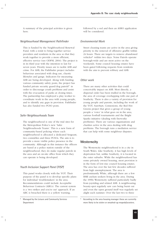A summary of the principal activities is given here.

#### *Neighbourhood Management Pathfinder*

This is funded by the Neighbourhood Renewal Fund, with a remit to bring together service providers and residents in the area so that they work together to provide a more efficient, effective service (see ODPM, 2004). The project is in its third year with the intention to last for seven years. Priority issues are to tackle ASB and crime. For ASB, the Pathfinder project includes behaviour associated with drug use, chaotic lifestyles and gangs. Indicators for measuring ASB are being developed. Along with funding various community safety posts, the project has funded private security guard/dog patrols**<sup>4</sup>** in order to discourage youth problems and assist with the evacuation of parks at closing times. The partnership has employed a play worker to coordinate work in the area with young people, and to identify any gaps in provision. Pathfinder has also funded two PCSO posts.

#### *Safer Neighbourhoods Team*

The neighbourhood is one of the trial sites for the Metropolitan Police's new 'Safer Neighbourhoods Teams'. This is a new form of community-based policing where each neighbourhood is allocated a dedicated Sergeant, two constables and three PCSOs. The aim is to provide a more visible police presence in the community. Although in this instance the officers are based at a police station outside of the neighbourhood, they do make regular patrols in the area and an on-site office from which they can operate is being developed.

#### *Youth Inclusion Support Panel (YISP)*

This panel works closely with the YOT. Their purpose of the panel is to develop specific plans for individual 'troublemakers' in the area. Recommendations could include Acceptable Behaviour Contracts (ABCs). The current system is a 'two strikes and you're out' approach. If an ABC is breached there is a yellow warning,

followed by a red and then an ASBO application will be considered.

#### *Environmental Work*

Street cleaning teams are active in the area giving priority to the removal of offensive graffiti within 24 hours. There are targets to remove abandoned vehicles**<sup>5</sup>** within two days. Noise Patrols operate borough-wide and are most active on the weekends. Some council housing estates have been gated following requests from residents with the aim to prevent robbery and ASB.

#### *Other work*

There are many other activities that could conceivably impact on ASB. Most directly, a dispersal order has been trialled in the borough, the area of coverage overlapping with one part of Southcity. There is also a variety of provision for young people and parents, including the work of the YOT, SureStart, Connexions, the Red Hot Greens project that gives a group of young people a 'voice' in what goes on in the area, various football tournaments and the Bright Sparks initiative (dealing with fireworks problems). There are various organisations and charities active in the area dealing with drug problems. The borough runs a mediation service that can help with some neighbour disputes.

# **Westerncity**

The Westerncity neighbourhood is in a city in South Wales. Like Southcity, it has high levels of deprivation but, unlike Southcity, it is located in the outer suburbs. While the neighbourhood has some privately owned housing, most provision is in the form of low-rise council housing estates. The area has over the last few decades suffered from high unemployment. The area is predominantly White, although there are a few BME asylum seekers living in the area. During the 1990s Westerncity suffered particularly badly from joyriding and related ASB. A neighbouring beauty-spot regularly saw cars being burnt out and even the open ground itself was regularly set alight each summer. Over the last two to three

**<sup>4</sup>** Managed by the Leisure and Community Services Department

**<sup>5</sup>** According to the area housing manager these are currently more likely to be stolen or smashed-up mopeds/scooters.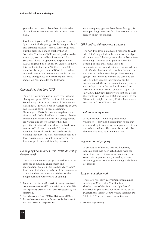years the car crime problem has diminished – although some residents fear that it may come back.

Problems of youth ASB are thought to be severe. Symptoms include young people 'hanging about' and drinking alcohol. There is some drugs use, but the problem is much smaller than in Southcity. The local CDRP has adopted a 'softlysoftly' approach to ASB enforcement. Like Southcity, there is a graduated response with ASBOs regarded as a last resort; unlike Southcity, this has led to far fewer ASBOs. By mid-2004, there had been just three ASBOs**<sup>6</sup>** in the whole city and none in the Westerncity neighbourhood. Activity taking place in Westerncity that could impact on ASB includes the following:

#### *Communities that Care (CTC)*

This is a programme put in place by a national charity set up in 1997 by the Joseph Rowntree Foundation; it is a development of the American CTC model.**<sup>7</sup>** It was set up in Westerncity in 2000 and is a long-term, 10-year programme (Fairnington, 2004). It is community-based and aims to build 'safer, healthier and more cohesive communities where children and young people are valued and able to achieve their full potential'. It is based on evidence derived from analysis of 'risk' and 'protective' factors, as identified by local people and professionals working together. The CTC coordinator acts as a local broker, aiming to link local projects – or ideas for projects – with funding sources.

#### *Funding by Communities First (Welsh Assembly Government)*

The Communities First project started in 2004; its aims are community engagement and regeneration. So far, a 'Big Brother' diary room**<sup>8</sup>** has been tried where members of the community can voice their concerns and wishes for the neighbourhood. Other ways of gaining

- **<sup>6</sup>** Two were on persistent offenders (both young males) and one a post-conviction ASBO on a male in his mid-30s. This was imposed by the court rather than being sought by the Partnership.
- **<sup>7</sup>** See eg France and Crow (2001) and Fairnington (2004).
- **<sup>8</sup>** The area's young people were far more enthusiastic about this than the rest of the population. **<sup>9</sup>** See www.highscope.org

community engagement have been through, for example, bingo sessions for older residents and a fashion show for children.

#### *CDRP anti-social behaviour structure*

The CDRP follows a graduated response to ASB, with ASBOs regarded as the last resort – a sign that they have failed to prevent the problem from escalating. The four-point plan involves the sending of first and second letters to perpetrators, the second being accompanied by a visit. On the third referral there is a further letter and a case conference – the 'problem solving group' – that meets to discuss the case and an ABC or other suitable intervention can be recommended. (In severe cases, the early stages can be by-passed.) On the fourth referral an ASBO is an option. From 1 January 2003 to 15 July 2004, 1,170 first letters were sent out across the whole city and one ASBO was issued. In the Westerncity neighbourhood, 73 first letters were sent out and no ASBOs issued.

#### *Local 'community house'*

A local resident – with help from other volunteers – provides a community house that acts as a drop-in centre for local parents, children and other residents. The house is provided by the local authority at a minimum rent.

#### *Regeneration of property*

A proportion of the pre-war local authority housing stock has been refurbished with the result that local residents now take greater care over their properties with, according to one resident, greater pride in maintaining such things as gardens.

#### *Early intervention work*

There are two early intervention programmes running in Westerncity. The first is a development of the American High/Scope**<sup>9</sup>** approach to pre-school education based at the [Westerncity] Family Centre, where sessions are 'child-led'. They are based on routine and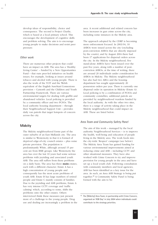develop ideas of responsibility, choice and consequence. The second is Project Charlie, which is based at a local primary school. This encourages the development of cognitive skills and problem solving. The aim is to encourage young people to make decisions and resist peer pressure.

#### *Other work*

There are numerous other projects that could have an impact on ASB. The area has a 'Healthy Living Centre' – funded by a New Opportunities Fund – that runs peer-led initiatives on health issues; for example, looking at issues around tobacco and alcohol with young people. There is also the work of the YOT and the Welsh equivalent of the English SureStart/Connexions provision – Cymorth and the Children and Youth Partnership Framework. There are various environmental targets for dealing with graffiti and abandoned vehicles. Local policing is provided by a community officer and two PCSOs. The local authority housing department – through their Neighbourhood Support Unit – provides daily van patrols that target hotspots of concern across the city.

#### **Midcity**

The Midcity neighbourhood forms part of the outer suburbs of an East Midlands city. The area is similar to Westerncity in that it is formed of deprived edge-of-city council estates – plus some private provision. The population is predominantly White, although around 15 per cent are from BME groups. Like Westerncity the area has over the last 10 years had some serious problems with joyriding and associated youth ASB. The area still suffers from these problems on a daily basis. The area has three **main** estates, each with a different character. Estate A has a high concentration of young people and consequently has the most acute problems of youth ASB. Estate B has large numbers of retired people and Estate C mainly consists of families. Due to the joyriding and ASB problems, Estate A has very intense CCTV coverage and 'traffic calming' which, according to some, shifts the problems onto the other estates. Others interviewed think these measures just present more of a challenge to the young people. Drug use and dealing are increasingly a problem in the

area. A recent additional and related concern has been increases in gun crime across the city, including some instances in the Midcity area.

The approach adopted by the CDRP is becoming more enforcement focused. In 2003/04, 10 ASBOs were issued across the city (excluding post-conviction ASBOs that are directly imposed by the courts); and by August 2004 there had been 17 applications for dispersal orders across the city. In the Midcity neighbourhood, five stand-alone ASBOs have been issued over the past five years, along with a number of postconviction ASBOs; at the time of writing, there are around 20 individuals under consideration for ASBOs in Midcity. The Midcity neighbourhood has also had two ABCs and the housing department has sought approximately 20 possession orders per year. There is currently one dispersal order in operation in Midcity (Estate A). Local policing is by a combination of PCSOs and community constables; additional patrols are provided by neighbourhood wardens funded by the local authority. As with the other two sites, there is a range of activity taking place in the Midcity neighbourhood that could impact on ASB. These are listed below.

#### *Area Team and Community Safety Panel*

The aim of this work – managed by the local authority Neighbourhood Services – is to improve the health, well-being and education of people living in the Midcity area. The work feeds into the city-wide 'Respect' campaign (see below). The Midcity Area Team has gained funding for various environmental improvements aimed at reducing crime and ASB – including CCTV and other situational measures. They have also worked with Crime Concern to try and improve provision for young people in the area and have set up a local youth club. Following consultation with community members and local agencies, ASB has been identified as a key issue for the area. As such, an Area ASB Strategy is being put together.**<sup>10</sup>** A Community Safety Panel is being formed with the aim to be:

**<sup>10</sup>** The [Midcity] Area Team, in partnership with Crime Concern, organised an 'ASB Day' in July 2004 when individuals could contribute to the strategy priorities.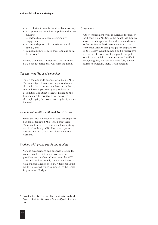- An inclusive forum for local problem-solving;
- An opportunity to influence policy and access funding;
- A partnership to facilitate community engagement;
- A partnership to build on existing social capital; and
- A mechanism to reduce crime and anti-social behaviour.**<sup>11</sup>**

Various community groups and local partners have been identified that will form the forum.

#### *The city-wide 'Respect' campaign*

This is the city-wide agenda for reducing ASB. The campaign's focus is on neighbourhoods, although a lot of current emphasis is on the city centre, looking particularly at problems of prostitution and street begging. Linked to this has been a '100 Day Clean-up Campaign', although again, this work was largely city-centre focused.

#### *Local housing office ASB 'Task Force' teams*

From late 2004 onwards each local housing area has had a dedicated ASB 'Task Force' Team. There are four across the city, each comprising two local authority ASB officers, two police officers, two PCSOs and two local authority wardens.

#### *Working with young people and families*

Various organisations and agencies provide for young people, children and parents. Key providers are SureStart, Connexions, the YOT, YISP and the local Family Centre which works with children aged four to 13. Additional youth work is provided which is funded by the Single Regeneration Budget.

#### *Other work*

Other enforcement work is currently focused on post-conviction ASBOs, in the belief that they are easier and cheaper to obtain than a stand-alone order. At August 2004 there were four postconviction ASBOs being sought for perpetrators in the Midcity neighbourhood and a further two across the city; one was for a prolific shoplifter, one for a car thief; and the rest were 'prolific in everything they do, just harassing folk, general nuisance, burglary, theft'. (local sergeant)

**<sup>11</sup>** Report to the city's Corporate Director of Neighbourhood Services (*Anti-Social Behaviour Strategy Update*, September 2004).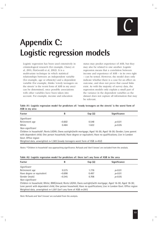

# **Appendix C: Logistic regression models**

Logistic regression has been used extensively in criminological research (for example, Clancy et al, 2001; FitzGerald et al, 2002). It is a multivariate technique in which statistical relationships between an independent variable (for example, age or ethnicity) and a dependent variable (for example, thinks 'rowdy teenagers on the streets' is the worst form of ASB in my area) can be determined, once possible associations with other variables have been taken into account. For example, income and education

status may predict experience of ASB, but they may also be related to one another. Logistic regression means that a correlation between income and experience of ASB – in its own right – can be tested. However, the model does only indicate whether there is a case for an effect on outcome, and does not prove that causal links exist. As with the majority of survey data, the regression models only explain a small part of the variance in the dependent variables as the dataset does not capture all information that may be relevant.

| Table A1: Logistic regression model for predictors of: 'rowdy teenagers on the streets' is the worst form of |  |  |  |  |  |  |
|--------------------------------------------------------------------------------------------------------------|--|--|--|--|--|--|
| ASB in my area                                                                                               |  |  |  |  |  |  |

| Factor          | В        | $Exp( \hat{a})$ | Significance |  |  |
|-----------------|----------|-----------------|--------------|--|--|
| Significant     |          |                 |              |  |  |
| Retirement age  | $-0.602$ | 0.548           | p<0.01       |  |  |
| White           | 0.484    | 1.622           | p<0.05       |  |  |
| Non-significant |          |                 |              |  |  |

Children in household**<sup>a</sup>** ; Rents LA/HA; Owns outright/with mortgage; Aged 16-30; Aged 18-30; Gender; Lone parent with dependent child; One person household; Have degree or equivalent; Have no qualifications; Live in London Govt. Office region

Weighted data, unweighted *n*=1,583 (rowdy teenagers worst form of ASB *n*=452)

*Notes:* **<sup>a</sup>** 'Children in household' was approaching significance. Refusals and 'don't knows' are excluded from the analysis.

| Table A2: Logistic regression model for predictors of: there isn't any form of ASB in the area |  |  |
|------------------------------------------------------------------------------------------------|--|--|
|------------------------------------------------------------------------------------------------|--|--|

| Factor                                                                                                     | B        | $Exp( \hat{a})$ | <b>Significance</b>                                                                                                |
|------------------------------------------------------------------------------------------------------------|----------|-----------------|--------------------------------------------------------------------------------------------------------------------|
| Significant                                                                                                |          |                 |                                                                                                                    |
| Retirement age                                                                                             | 0.575    | 1.776           | p<0.01                                                                                                             |
| Have degree or equivalent                                                                                  | $-0.698$ | 0.497           | p<0.01                                                                                                             |
| Gender (male)                                                                                              | $-0.345$ | 0.708           | p<0.05                                                                                                             |
| Non-significant                                                                                            |          |                 |                                                                                                                    |
| Children in household; White; BME/mixed; Rents LA/HA; Owns outright/with mortgage; Aged 16-30; Aged 18-30; |          |                 |                                                                                                                    |
|                                                                                                            |          |                 | Lone parent with dependent child; One person household; Have no qualifications; Live in London Govt. Office region |

Weighted data, unweighted *n*=1,597 (isn't any form of ASB *n*=291)

*Note:* Refusals and 'don't knows' are excluded from the analysis.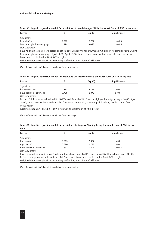| Factor                                                                                                           | B     | $Exp( \hat{a})$ | Significance |
|------------------------------------------------------------------------------------------------------------------|-------|-----------------|--------------|
| Significant                                                                                                      |       |                 |              |
| Rents LA/HA                                                                                                      | 1.310 | 3.707           | p<0.05       |
| Owns outright/has mortgage                                                                                       | 1.114 | 3.046           | p<0.05       |
| Non-significant                                                                                                  |       |                 |              |
| Have no qualifications; Have degree or equivalent; Gender; White; BME/mixed; Children in household; Rents LA/HA; |       |                 |              |
| Owns outright/with mortgage; Aged 18-30; Aged 16-30; Retired; Lone parent with dependent child; One person       |       |                 |              |
| household; Live in London Govt. Office region                                                                    |       |                 |              |
| Weighted data, unweighted $n=1,596$ (drug use/dealing worst form of ASB $n=142$ )                                |       |                 |              |

| Table A3: Logistic regression model for predictors of: vandalism/graffiti is the worst form of ASB in my area |  |
|---------------------------------------------------------------------------------------------------------------|--|
|                                                                                                               |  |

*Note:* Refusals and 'don't knows' are excluded from the analysis.

#### **Table A4: Logistic regression model for predictors of: litter/rubbish is the worst form of ASB in my area**

| Factor                                         | В     | $Exp( \hat{a})$ | Significance |  |
|------------------------------------------------|-------|-----------------|--------------|--|
| Significant                                    |       |                 |              |  |
| Retirement age                                 | 0.768 | 2.155           | p<0.01       |  |
| Have degree or equivalent<br>$\cdots$ $\cdots$ | 0.728 | 2.072           | p<0.01       |  |

*Non-significant*

Gender; Children in household; White; BME/mixed; Rents LA/HA; Owns outright/with mortgage; Aged 16-30; Aged 18-30; Lone parent with dependent child; One person household; Have no qualifications; Live in London Govt. Office region

Weighted data, unweighted *n*=1,597 (litter/rubbish worst form of ASB *n*=138)

*Note:* Refusals and 'don't knows' are excluded from the analysis.

| Table A5: Logistic regression model for predictors of: drug use/dealing being the worst form of ASB in my |  |  |  |  |  |  |
|-----------------------------------------------------------------------------------------------------------|--|--|--|--|--|--|
| area                                                                                                      |  |  |  |  |  |  |

| <b>Factor</b>                                                                                                | B        | $Exp( \hat{a})$ | <b>Significance</b> |
|--------------------------------------------------------------------------------------------------------------|----------|-----------------|---------------------|
| Significant                                                                                                  |          |                 |                     |
| BME/mixed                                                                                                    | 0.985    | 2.677           | p<0.01              |
| Aged 16-30                                                                                                   | 0.580    | 1.786           | p<0.01              |
| Have degree or equivalent                                                                                    | $-0.692$ | 0.501           | p<0.05              |
| Non-significant                                                                                              |          |                 |                     |
| Have no qualifications; Gender; Children in household; Rents LA/HA; Owns outright/with mortgage; Aged 18-30; |          |                 |                     |
| Retired; Lone parent with dependent child; One person household; Live in London Govt. Office region          |          |                 |                     |

Weighted data, unweighted *n*=1,583 (drug use/dealing worst form of ASB *n*=127)

*Note:* Refusals and 'don't knows' are excluded from the analysis.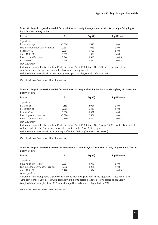| <b>Factor</b>                                                                                        | В        | $Exp( \hat{a})$ | Significance |
|------------------------------------------------------------------------------------------------------|----------|-----------------|--------------|
| Significant                                                                                          |          |                 |              |
| Retirement age                                                                                       | $-0.654$ | 0.520           | p<0.01       |
| Live in London Govt. Office region                                                                   | 0.687    | 1.988           | p<0.01       |
| Rents LA/HA                                                                                          | 0.564    | 1.758           | p<0.01       |
| Aged 18 to 30                                                                                        | 0.503    | 1.654           | p<0.01       |
| Have no qualifications                                                                               | 0.348    | 1.416           | p<0.05       |
| BME/mixed                                                                                            | 0.499    | 1.647           | p<0.05       |
| Non-significant                                                                                      |          |                 |              |
| Children in household; Owns outright/with mortgage; Aged 16-30; Aged 16-18; Gender; Lone parent with |          |                 |              |
| dependent child; One person household; Have degree or equivalent                                     |          |                 |              |
| Weighted data, unweighted $n=1,661$ (rowdy teenagers fairly big/very big affect $n=325$ )            |          |                 |              |

**Table A6: Logistic regression model for predictors of: rowdy teenagers on the streets having a fairly big/very big affect on quality of life**

*Note:* 'Don't knows' are excluded from the analysis.

| Table A7: Logistic regression model for predictors of: drug use/dealing having a fairly big/very big affect on |  |  |  |  |  |
|----------------------------------------------------------------------------------------------------------------|--|--|--|--|--|
| quality of life                                                                                                |  |  |  |  |  |

| <b>Factor</b>                                                                                               | B        | Exp(a) | <b>Significance</b> |
|-------------------------------------------------------------------------------------------------------------|----------|--------|---------------------|
| Significant                                                                                                 |          |        |                     |
| BME/mixed                                                                                                   | 1.116    | 3.054  | p<0.01              |
| Retirement age                                                                                              | $-0.885$ | 0.413  | p<0.01              |
| Rents LA/HA                                                                                                 | 0.658    | 1.931  | p<0.01              |
| Have degree or equivalent                                                                                   | $-0.690$ | 0.501  | p<0.01              |
| Have no qualifications                                                                                      | 0.350    | 1.419  | p<0.05              |
| Non-significant                                                                                             |          |        |                     |
| Children in household; Owns outright/with mortgage; Aged 16-30; Aged 16-18; Aged 18-30; Gender; Lone parent |          |        |                     |
| with dependent child; One person household; Live in London Govt. Office region                              |          |        |                     |

Weighted data, unweighted *n*=1,579 (drug use/dealing fairly big/very big affect *n*=281)

*Note:* 'Don't knows' are excluded from the analysis.

| Table A8: Logistic regression model for predictors of: vandalism/graffiti having a fairly big/very big affect on |  |  |  |  |
|------------------------------------------------------------------------------------------------------------------|--|--|--|--|
| quality of life                                                                                                  |  |  |  |  |

| <b>Factor</b>                                                                                            | B     | $Exp( \hat{a})$ | Significance |
|----------------------------------------------------------------------------------------------------------|-------|-----------------|--------------|
| Significant                                                                                              |       |                 |              |
| Have no qualifications                                                                                   | 0.651 | 1.918           | p<0.01       |
| Live in London Govt. Office region                                                                       | 0.653 | 1.921           | p<0.01       |
| Aged 18 to 30                                                                                            | 0.428 | 1.534           | p<0.05       |
| Non-significant                                                                                          |       |                 |              |
| Children in household; Rents LA/HA; Owns outright/with mortgage; Retirement age; Aged 16-30; Aged 16-18; |       |                 |              |
| Ethnicity; Gender; Lone parent with dependent child; One person household; Have degree or equivalent     |       |                 |              |
| Weighted data, unweighted $n=1,672$ (vandalism/graffiti fairly big/very big affect $n=281$ )             |       |                 |              |

*Note:* 'Don't knows' are excluded from the analysis.